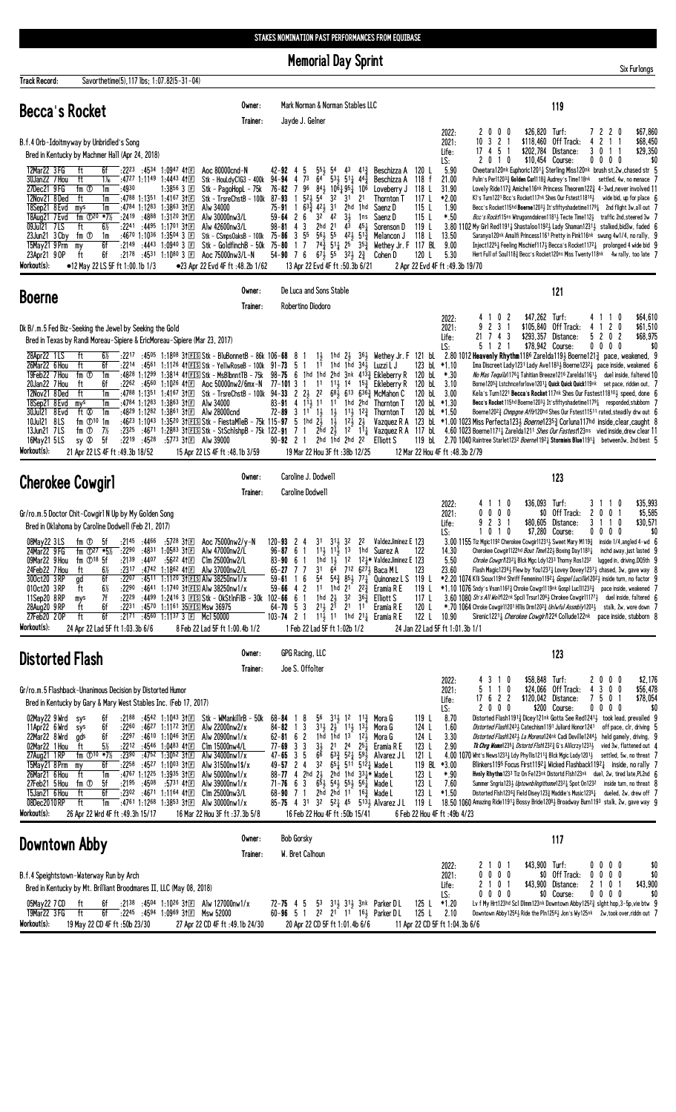**Memorial Day Sprint** 

| <b>Track Record:</b>                                                                                                                                                               | Savorthetime(5), 117 lbs; 1:07.82(5-31-04)                                                                                                                                                                                                                                                                                                                                                                                                                     |                                                                                                                                                                                                                                                                                                                                                                              |                                                                                                                                                                                                                                                                                                                                                                                                                                                                                                                                                                                                                                                                                                                                                                                                                                                                                 |                                                                                                                                                                                                                                                                                                                                                                                                                                                                                                                                                                                                                                                                                                                                                                                                                                                                                                                                                                                                                                                                                                                                                                                                |
|------------------------------------------------------------------------------------------------------------------------------------------------------------------------------------|----------------------------------------------------------------------------------------------------------------------------------------------------------------------------------------------------------------------------------------------------------------------------------------------------------------------------------------------------------------------------------------------------------------------------------------------------------------|------------------------------------------------------------------------------------------------------------------------------------------------------------------------------------------------------------------------------------------------------------------------------------------------------------------------------------------------------------------------------|---------------------------------------------------------------------------------------------------------------------------------------------------------------------------------------------------------------------------------------------------------------------------------------------------------------------------------------------------------------------------------------------------------------------------------------------------------------------------------------------------------------------------------------------------------------------------------------------------------------------------------------------------------------------------------------------------------------------------------------------------------------------------------------------------------------------------------------------------------------------------------|------------------------------------------------------------------------------------------------------------------------------------------------------------------------------------------------------------------------------------------------------------------------------------------------------------------------------------------------------------------------------------------------------------------------------------------------------------------------------------------------------------------------------------------------------------------------------------------------------------------------------------------------------------------------------------------------------------------------------------------------------------------------------------------------------------------------------------------------------------------------------------------------------------------------------------------------------------------------------------------------------------------------------------------------------------------------------------------------------------------------------------------------------------------------------------------------|
| <b>Becca's Rocket</b>                                                                                                                                                              |                                                                                                                                                                                                                                                                                                                                                                                                                                                                | Owner:<br>Trainer:                                                                                                                                                                                                                                                                                                                                                           | Mark Norman & Norman Stables LLC<br>Jayde J. Gelner                                                                                                                                                                                                                                                                                                                                                                                                                                                                                                                                                                                                                                                                                                                                                                                                                             | 119                                                                                                                                                                                                                                                                                                                                                                                                                                                                                                                                                                                                                                                                                                                                                                                                                                                                                                                                                                                                                                                                                                                                                                                            |
|                                                                                                                                                                                    | B.f.4 Orb-Idoitmyway by Unbridled's Song<br>Bred in Kentucky by Machmer Hall (Apr 24, 2018)<br>ft                                                                                                                                                                                                                                                                                                                                                              |                                                                                                                                                                                                                                                                                                                                                                              |                                                                                                                                                                                                                                                                                                                                                                                                                                                                                                                                                                                                                                                                                                                                                                                                                                                                                 | \$26,820 Turf:<br>\$67,860<br>2000<br>7220<br>2022:<br>10<br>3 2 1<br>\$118,460 Off Track:<br>4 2 1 1<br>\$68,450<br>2021:<br>\$202,784 Distance:<br>\$29,350<br>17 4 5 1<br>3 0 1 1<br>Life:<br>\$10,454 Course:<br>2 0 1 0<br>$0\ 0\ 0\ 0$<br>\$0<br>LS:<br>5.90                                                                                                                                                                                                                                                                                                                                                                                                                                                                                                                                                                                                                                                                                                                                                                                                                                                                                                                             |
| 12Mar22 3 FG<br>30Jan22 7 Hou<br>27Dec21 9FG<br>12Nov21 8Ded<br>18Sep21 8 Evd<br>18Aug21 7 Evd<br>09Jul21 7LS<br>23Jun21 3 Cby<br>15May21 9 Prm<br>23Apr21 9 OP<br>Workout(s):     | $:22^{23}$ $:45^{34}$ 1:0947 41 E<br>6f<br>ft<br>:4727 1:1149 1:4443 41 $\Box$<br>$1\%$<br>fm <sup>①</sup><br>:4930<br>1m<br>ft<br>:4788 1:1351 1:4167 311<br>1m<br>:4784 1:1283 1:3863 31 $E$<br>1m<br>mys<br>fm $\Phi^{20}$ *7%<br>$:2419$ :4888 1:3120 31 $\Box$<br>:2241 :4495 1:1701 311<br>ft<br>6½<br>fm ①<br>:4670 1:1036 1:3504 3 $E$<br>1m<br>6f<br>$:21^{49}$ $:44^{43}$ 1:0940 3 $E$<br>my<br>ft<br>6f<br>:2178<br>•12 May 22 LS 5F ft 1:00.1b 1/3 | Aoc 80000cnd-N<br>Stk - HouLdyClG3 - 400k 94-94 4<br>Stk - PagoHopL - 75k<br>$1:3856$ 3 $E$<br>Stk - TrsreChstB - 100k<br>Alw 34000<br>Alw 30000nw3/L<br>Alw 42600nw3/L<br>Stk - CSmpsOaksB - 100k<br>Stk - Goldfinch $B - 50k$ 75-80<br>:4531 1:1080 3 国<br>Aoc 75000nw3/L-N<br>●23 Apr 22 Evd 4F ft :48.2b 1/62                                                            | $42 - 92$ 4<br>$55\frac{1}{2}$ 54<br>43 413<br>Beschizza A<br>5<br>64<br>$53\frac{1}{2}$ 51 $\frac{1}{4}$ 44 $\frac{3}{4}$<br>73<br>Beschizza A<br>96<br>$84\frac{1}{2}$ $10\bar{6}$ $\frac{1}{4}$ $95\frac{1}{4}$ $10\bar{6}$<br>76-82<br>7<br>Loveberry J<br>52 <sub>3</sub><br>54<br>87-93<br>$\overline{1}$<br>32<br>3 <sup>1</sup><br>21<br>Thornton T<br>$75-91$ 1 $63\frac{5}{4}$ 42 <sub>2</sub> 31<br>2hd 1hd<br>Saenz D<br>$3^2$ $4^2$<br>$3\frac{1}{2}$<br>$59 - 64$ 2 6<br>1ns<br>Saenz D<br>3<br>2hd 21<br>43 451<br>$98 - 81$ 4<br>Sorenson D<br>$56\frac{1}{2}$ 55<br>$75 - 86$ 3<br>55<br>$42\frac{1}{2}$ 51 $\frac{3}{4}$<br>Melancon J<br>$74\frac{3}{4}$ 5 <sup>1</sup> $1\frac{1}{4}$ 2 <sup>5</sup> 3 <sup>53</sup><br>17<br>$54 - 90$ 7 6<br>$67\frac{1}{2}$ 55 $32\frac{1}{2}$ $2\frac{3}{4}$<br>Cohen D<br>13 Apr 22 Evd 4F ft :50.3b 6/21              | Cheetara120nk Euphoric12011 Sterling Miss120nk brush st, 2w, chased str 5<br>120 L<br>Pulin's Perl1203 <sub>4</sub> Golden Curl118 <sub>4</sub> Audrey's Time118nk settled, 4w, no menace 7<br>118 f<br>21.00<br>31.90<br>118 L<br>Lovely Ride1173 Amiche116nk Princess Theorem1223 4-3wd.never involved 11<br>117 L<br>*2.00<br>KI's Turn1221 Bcc's Rocket117nk Shes Our Fstest118101 wide bid, up for place 6<br>115L<br>1.90<br>Becc's Rocket115hd <b>Boerne</b> 1203} It'sfiftyshadetime1179 $\frac{1}{4}$ 2nd flight 3w, all out 7<br>115L<br>$*.50$<br>Bcc's Rockt115ns Wtrugonndokren11813 Tecte Time1123 traffic 2nd, steered 3w 7<br>119 L<br>3.80 1102 My Girl Red11911 Shastaloo11921 Lady Shaman12311 stalked, bid3w, faded 6<br>118 L<br>13.50<br>Saranya120nk Amalfi Princess1161 Pretty in Pink116nk swung 4w1/4, no rally, 9<br>Wethey Jr. F 117 BL<br>9.00<br>Inject12251 Feeling Mischief1171 Becca's Rocket11721 prolonged 4 wide bid 9<br>120 L<br>5.30<br>Hert Full of Soul118 <sub>2</sub> Becc's Rocket120ns Miss Twenty118nk 4w rally, too late 7<br>2 Apr 22 Evd 4F ft : 49.3b 19/70                                                                                  |
| <b>Boerne</b>                                                                                                                                                                      |                                                                                                                                                                                                                                                                                                                                                                                                                                                                | Owner:                                                                                                                                                                                                                                                                                                                                                                       | De Luca and Sons Stable                                                                                                                                                                                                                                                                                                                                                                                                                                                                                                                                                                                                                                                                                                                                                                                                                                                         | 121                                                                                                                                                                                                                                                                                                                                                                                                                                                                                                                                                                                                                                                                                                                                                                                                                                                                                                                                                                                                                                                                                                                                                                                            |
| 28Apr22 1LS<br>26Mar22 6 Hou<br>19Feb22 7 Hou                                                                                                                                      | Dk B/.m.5 Fed Biz-Seeking the Jewel by Seeking the Gold<br>Bred in Texas by Randi Moreau-Sipiere & EricMoreau-Sipiere (Mar 23, 2017)<br>ft<br>$6\%$<br>6f<br>ft<br>fm $\Phi$<br>1m                                                                                                                                                                                                                                                                             | Trainer:<br>:2217 :4505 1:1808 31ES Stk - BluBonnetB - 86k 106-68 8 1                                                                                                                                                                                                                                                                                                        | Robertino Diodoro<br>1hd $2\frac{1}{2}$ $36\frac{1}{2}$ Wethey Jr. F 121 bl<br>$1\frac{1}{2}$<br>:2214 :4561 1:1126 41 EIS Stk - YellwRoseB - 100k 91-73 5 1 11 1hd 1hd 34 Luzzi LJ<br>:4828 1:1299 1:3814 41 EIS Stk - MsBlbnnt TB - 75k 98-75 6 1hd 1hd 2hd 3nk 4133 Eikleberry R                                                                                                                                                                                                                                                                                                                                                                                                                                                                                                                                                                                             | \$47,262 Turf:<br>\$64,610<br>2022:<br>410<br>2<br>4 1 1 0<br>31<br>\$105,840 Off Track:<br>4 1 2 0<br>\$61,510<br>2021:<br>$\mathbf{2}$<br>21 7 4 3<br>\$293,357 Distance:<br>5 2 0 2<br>\$68,975<br>Life:<br>\$78.942 Course:<br>5 1 2<br>$0\ 0\ 0\ 0$<br>LS:<br>$\overline{1}$<br>\$0<br>2.80 1012 Heavenly Rhythm1186 Zarelda119 $\frac{1}{2}$ Boerne121 $\frac{3}{4}$ pace, weakened, 9<br>123 bl $*1.10$<br>Ima Discreet Lady1231 Lady Ave11833 Boerne12321 pace inside, weakened 6<br>$*.30$<br>No Mas Tequila1176 <sub>4</sub> Tahitian Breeze1216 Zare1da1161 <sub>2</sub> duel inside, fa1tered 10<br>120 bL                                                                                                                                                                                                                                                                                                                                                                                                                                                                                                                                                                         |
| 20Jan22 7 Hou<br>12Nov21 8Ded<br>18Sep21 8 Evd<br>30Jul21 8 Evd<br>10Jul21 8LS<br>13Jun21 7LS<br>16May21 5LS<br>Workout(s):                                                        | ft<br>6f<br>ft<br>1m<br>mys<br>1m<br>ft Ø<br>1m<br>fm $\mathbb{D}^{10}$ 1m<br>fm ①<br>- 7½<br>sy ®<br>-5f<br>$:22^{19}$ $:45^{28}$<br>21 Apr 22 LS 4F ft : 49.3b 18/52                                                                                                                                                                                                                                                                                         | :2262 :4560 1:1026 41 $E$ Aoc 50000nw2/6mx-N<br>:4784 1:1283 1:3863 31 $E$ Alw 34000<br>:48 <sup>29</sup> 1:12 <sup>82</sup> 1:38 <sup>61</sup> 31 $E$ Alw 28000cnd<br>:4623 1:1043 1:3520 31 E S Stk - FiestaMleB - 75k 115-97 5 1hd $2\frac{1}{2}$ 1 $\frac{1}{2}$<br>:5773 31回 Alw 39000<br>15 Apr 22 LS 4F ft: 48.1b 3/59                                                | 77-101 3 1 1 <sup>1</sup> 1 <sup>1</sup> 1 <sup>4</sup> 1 <sup>5</sup> Hikleberry R<br>:4788 1:1351 1:4167 31 $E$ Stk - TrsreChstB - 100k 94-33 2 2 $\frac{1}{2}$ 22 68 $\frac{5}{2}$ 613 63 $\frac{7}{2}$ McMahon C<br>83-91 4 $1^{\overline{1}}\frac{1}{2}$ 11 $1^{\overline{1}}$<br>1hd 2hd<br>Thornton T<br>$72 - 89$ 3 $11$ $1\frac{1}{2}$<br>$11\frac{1}{2}$ $12\frac{3}{4}$<br>$1\frac{1}{2}$<br>Thornton T<br>$12\frac{1}{2}$ $2\frac{1}{2}$<br>2hd 1hd 2hd 22<br>$90 - 92$ 2 1<br>Elliott S<br>19 Mar 22 Hou 3F ft: 38b 12/25                                                                                                                                                                                                                                                                                                                                          | 3.10<br>120 bL<br>Borne12053 Lstchnceforlove12011 Quick Quick Quick119nk set pace, ridden out, 7<br>120 bL 3.00<br>Kela's Turn1221 Becca's Rocket117nk Shes Our Fastest118103 speed, done 6<br>120 bL *1.30<br><b>Becc's Rocket</b> 115hd Boerne1203, It's fifty shade time 1179, responded, stubborn 7<br>120 bl $*1.50$<br>Boerne12023 Chmpgne Affir120hd Shes Our Fstest11511 rated, steadily drw out 6<br>Vazquez R A 123 bl *1.00 1023 Miss Perfecta1233 Boerne12353 Corluna117hd inside, clear, caught 8<br>:2325 :4671 1:2883 3fEISIStk - StSchlshpB - 75k 122-91 7 1 2hd 2 $\frac{7}{2}$ 12 11 Vazquez R A 117 bL 4.60 1023 Boerne1171 ZareIda1211 Shes Our Fastest123ns vied inside, drew clear 11<br>119 bL 2.70 1040 Raintree Starlet123 <sup>2</sup> Boerne119 <sup>21</sup> <sub>4</sub> Stormieis Blue1191 <sup>3</sup> <sub>4</sub> between3w, 2nd best 5<br>12 Mar 22 Hou 4F ft: 48.3b 2/79                                                                                                                                                                                                                                                                                    |
| <b>Cherokee Cowgirl</b>                                                                                                                                                            |                                                                                                                                                                                                                                                                                                                                                                                                                                                                | Owner:                                                                                                                                                                                                                                                                                                                                                                       | Caroline J. Dodwell                                                                                                                                                                                                                                                                                                                                                                                                                                                                                                                                                                                                                                                                                                                                                                                                                                                             | 123                                                                                                                                                                                                                                                                                                                                                                                                                                                                                                                                                                                                                                                                                                                                                                                                                                                                                                                                                                                                                                                                                                                                                                                            |
|                                                                                                                                                                                    | Gr/ro.m.5 Doctor Chit-Cowgirl N Up by My Golden Song<br>Bred in Oklahoma by Caroline Dodwell (Feb 21, 2017)                                                                                                                                                                                                                                                                                                                                                    | Trainer:                                                                                                                                                                                                                                                                                                                                                                     | <b>Caroline Dodwell</b>                                                                                                                                                                                                                                                                                                                                                                                                                                                                                                                                                                                                                                                                                                                                                                                                                                                         | \$35,993<br>$$36,093$ Turf:<br>4 1 1 0<br>3 1 1 0<br>2022:<br>0000<br>\$0 Off Track:<br>2 0 0 1<br>\$5,585<br>2021:<br>9231<br>\$80,605 Distance:<br>\$30,571<br>3 1 1 0<br>Life:<br>\$7,280 Course:<br>LS:<br>0 1 0<br>$0\,0\,0\,0$<br>\$0                                                                                                                                                                                                                                                                                                                                                                                                                                                                                                                                                                                                                                                                                                                                                                                                                                                                                                                                                    |
| 08May22 3LS<br>24Mar22 9 FG<br>09Mar22 9 Hou<br>24Feb22 7 Hou ft<br>300ct20 3RP<br>010ct20 3RP<br>11Sep20 8RP<br>28Aug20 9 RP<br>27Feb20 20P<br>Workout(s):                        | :2145 :4466<br>fm ①<br>- 5f<br>fm $\oplus$ 27 $*5\frac{1}{2}$<br>$:22^{90}$ $:48^{31}$ 1:0583 31 E<br>fm $\mathbb{O}^{18}$ 5f<br>$:21^{39}$ $:44^{07}$ $:56^{22}$ 41 F<br>6f<br>:2207<br>gd<br>$6\%$<br>ft<br>:2290<br>7f<br>:2229<br>mys<br>ft<br>6f<br>6f<br>ft<br>24 Apr 22 Lad 5F ft 1:03.3b 6/6                                                                                                                                                           | :5728 3†⊡<br>Aoc 75000nw2/y-N<br>Alw 47000nw2/L<br>C1m 25000nw2/L<br>6½ :2317 :4742 1:1862 41囯 Alw 37000nw2/L<br>:4511 1:1120 31ES Alw 38250nw1/x<br>:4641 1:1740 31ES Alw 38250nw1/x<br>:4499 1:2416 3 $EIS$ Stk - OkStInFilB - 30k 102-66 6 1<br>:2231 :4570 1:1161 35ES Msw 36975<br>:2171 :4560 1:1137 3 E Mcl 50000<br>8 Feb 22 Lad 5F ft 1:00.4b 1/2                   | $31\frac{1}{2}$ $32$ $22$<br>$120 - 93$ 2 4<br>31<br>11, 11, 13 1hd Suarez A<br>$96 - 87$ 6 1<br>1hd $1\frac{1}{2}$ 12 $1^2\frac{1}{2}$ ValdezJiminez E 123<br>$83 - 90 = 61$<br>65-27 7 7 31 64 712 6271 Baca M L<br>54<br>59-61<br>16<br>11 1hd $2^{1}$ $2^{2}\frac{3}{4}$<br>$59 - 66$ 4 2<br>Eramia R E<br>$3^2$ $3^{6^3}$ Elliott S<br>1hd 2½<br>$2^{11}$ , $2^{1}$ $2^{1}$ 11 Eramia R E<br>$64 - 70$ 5 3<br>103-74 2 1 $11\frac{1}{2}$ 1 <sup>1</sup> 1 <sup>hd</sup> 2 <sup>1</sup> <sup>1</sup> Eramia R E<br>1 Feb 22 Lad 5F ft 1:02b 1/2                                                                                                                                                                                                                                                                                                                             | 3.00 1155 Tiz Mgic1192 Cherokee Cowgir112313 Sweet Mary M1193 inside 1/4, angled 4-wd 6<br>ValdezJiminez E 123<br>14.30<br>122<br>Cherokee Cowgir1122hd <i>Bout Time</i> 122 $\frac{1}{2}$ Boxing Day118 <sup>3</sup> $\frac{1}{4}$ inchd away, just lasted 9<br>5.50<br>Chroke Cowgr/1232 & Blck Mgc Ldy1233 Thorny Ros1232 lugged in, driving, DQ5th 9<br>Flash Magic12361 Flew by You12371 Lovey Dovey12371 chased, 3w, gave way $8$<br>123<br>23.60<br>$54\frac{3}{4}$ $85\frac{1}{2}$ $77\frac{1}{4}$ Quinonez L S 119 L *2.20 1074 KIIi Sioux119hd Shriff Femenino1192 $\frac{1}{4}$ Gospel Lucille1202 $\frac{1}{2}$ inside turn, no factor 9<br>*1, 10 1076 Sndy's Vson11623 Chroke Cowgr1119nk Gosp1 Luc1112333 pace inside, weakened 7<br>119 L<br>3.60 1080 Sh's All Wolf122nk Spcil Trsur12063 Chrokee Cowgir111773<br>117 L<br>duel inside, faltered 6<br>120 L<br>*.70 1064 Chroke Cowgir11201 Hilis Drm120 <sup>2</sup> Uniwful Assmbly120 <sup>31</sup> /3 stalk, 2w, wore down 7<br>122 L<br>10.90<br>Sirenic1221 <sub>4</sub> Cherokee Cowgir/1224 Collude122nk pace inside, stubborn 8<br>24 Jan 22 Lad 5F ft 1:01.3b 1/1                                                   |
| <b>Distorted Flash</b>                                                                                                                                                             |                                                                                                                                                                                                                                                                                                                                                                                                                                                                | Owner:<br>Trainer:                                                                                                                                                                                                                                                                                                                                                           | GPG Racing, LLC<br>Joe S. Offolter                                                                                                                                                                                                                                                                                                                                                                                                                                                                                                                                                                                                                                                                                                                                                                                                                                              | 123                                                                                                                                                                                                                                                                                                                                                                                                                                                                                                                                                                                                                                                                                                                                                                                                                                                                                                                                                                                                                                                                                                                                                                                            |
|                                                                                                                                                                                    | Gr/ro.m.5 Flashback-Unanimous Decision by Distorted Humor<br>Bred in Kentucky by Gary & Mary West Stables Inc. (Feb 17, 2017)                                                                                                                                                                                                                                                                                                                                  |                                                                                                                                                                                                                                                                                                                                                                              |                                                                                                                                                                                                                                                                                                                                                                                                                                                                                                                                                                                                                                                                                                                                                                                                                                                                                 | \$58,848 Turf:<br>2000<br>\$2,176<br>2022:<br>43<br>10<br>5 1 1 0<br>\$24,066 Off Track:<br>4 3 0 0<br>2021:<br>\$56,478<br>750<br>17 6 2 2<br>\$120,042 Distance:<br>\$78,054<br>Life:<br>2000<br>\$200 Course:<br>0 0 0 0<br>\$0<br>LS:                                                                                                                                                                                                                                                                                                                                                                                                                                                                                                                                                                                                                                                                                                                                                                                                                                                                                                                                                      |
| 02May22 9 Wrd<br>11Apr22 6 Wrd<br>22Mar22 8 Wrd<br>02Mar22 1 Hou<br>27Aug21 1 RP<br>15May21 8 Prm<br>26Mar21 6 Hou<br>27Feb21 5 Hou<br>15Jan21 6 Hou<br>08Dec2010RP<br>Workout(s): | 6f<br>sys<br>6f<br>:2260<br>sys<br>6f<br>ads<br>:2297<br>5%<br>:2212 :4546 1:0483 41E<br>ft<br>fm $\Phi$ <sup>10</sup> *7%<br>:2390<br>6f<br>:2258<br>my<br>ft<br>1m<br>:4767 1:1225 1:3935 31 $E$<br>fm ①<br>5f<br>$:2195$ $:4508$ $:5731$ 41 E<br>ft<br>6f<br>:2302 :4671 1:1164 41回<br>ft<br>1m<br>:4761 1:1268 1:3853 31 $\mathbb{E}$<br>26 Apr 22 Wrd 4F ft : 49.3h 15/17                                                                                 | :2188 :4542 1:1043 31 $E$ Stk - WMankillrB - 50k<br>:4627 1:1172 3111<br>Alw 22000nw2/x<br>:4610 1:1046 3†国<br>Alw 20900nw1/x<br>Clm 15000nw4/L<br>:47 <sup>52</sup> 1:30 <sup>52</sup> 3†匣<br>Alw $34000$ nw $1/x$<br>:4527 1:1003 3111<br>Alw 31500nw1\$/x<br>Alw 50000nw1/x<br>Alw $39000$ nw $1/x$<br>C1m 25000nw3/L<br>Alw 30000nw1/x<br>16 Mar 22 Hou 3F ft :37.3b 5/8 | $68 - 84$ 1 8<br>$56 \quad 31\frac{1}{2} \quad 12 \quad 11\frac{3}{4} \quad \text{Mora } G$<br>$84 - 82$ 1 3<br>$31\frac{1}{2}$ $2\frac{1}{2}$ $11\frac{1}{2}$ $13\frac{1}{2}$<br>Mora G<br>1hd 1hd 1 <sup>3</sup> 1 <sup>2</sup> / <sub>3</sub> Mora G<br>$62 - 81 62$<br>21 24 25 $\frac{1}{4}$ Eramia R E<br>$77 - 69$ 3 3<br>$\frac{3\frac{1}{2}}{6^6}$<br>$47 - 65$ 3 5<br>$63\frac{3}{4}$ 5 <sup>2</sup> $\frac{1}{4}$ 5 <sup>9</sup> $\frac{1}{2}$ Alvarez J L<br>3 <sup>2</sup><br>$65\frac{1}{4}$ 511 512 <sub>4</sub> Wade L<br>2 <sub>4</sub><br>49-57<br>$88 - 77$ 4 2hd $2\frac{1}{2}$<br>2hd 1hd $33\frac{1}{4}$ Wade L<br>$6\bar{5}$ } $54\frac{1}{2}$ $55\frac{1}{2}$ $56\frac{1}{4}$ Wade L<br>$71 - 76$ 6 3<br>68-90 7 1 2hd 2hd 1 <sup>1</sup> 16 <sup>3</sup> / <sub>2</sub> Wade L<br>85-75 4 31 32 52 45 513 Alvarez JL<br>16 Feb 22 Hou 4F ft: 50b 15/41 | 119L<br>8.70<br>Distorted Flash11913 Dicey121nk Gotta See Red12413 took lead, prevailed 9<br>124 L<br>1.60<br>Distorted Flash12433 Catechism1191 Juliard Honor1241 off pace, clr, driving 5<br>124 L<br>3.30<br><i>Distorted Flash</i> 124 <sup>2</sup> La Morena124 <sup>nk</sup> Cadi Deville124 <sup>4</sup> held gamely, driving, 9<br>2.90<br>123L<br><b>Tk Chrg Womn</b> 1235 <sub>4</sub> Dstortd Flsh1232 <sub>4</sub> <sup>2</sup> G's Alilcrzy 1233 <sub>3</sub> vied 3w, flattened out 4<br>121 L<br>4.00 1070 Wht's News12331 Ldy Phyllis1211 3 Blck Mgic Lady12011 settled, 5w, no threat 7<br>119 BL<br>Blinkers1195 Focus First11921 Wicked Flashback11921 inside, no rally 7<br>$*3.00$<br>123 L<br>$*.90$<br>Hvnly Rhythm1233 Tiz On Fe123nk Distortd Flsh123nk duel, 2w, tired late, PL2nd 6<br>123L<br>7.60<br>Summer Sngria123} Uptownblingithome1232} Spot 0n1232 inside turn, no threat 8<br>123 L<br>$*1.50$<br>Distorted F1sh1236 $\frac{3}{4}$ Field Disey123 $\frac{3}{4}$ Maddie's Music1235 $\frac{1}{4}$ dueled, 2w, drew off 7<br>119 L<br>18.50 1060 Amazing Ride11911 Bossy Bride12081 Broadway Burn1193 stalk, 2w, gave way 9<br>6 Feb 22 Hou 4F ft: 49b 4/23 |
| Downtown Abby                                                                                                                                                                      |                                                                                                                                                                                                                                                                                                                                                                                                                                                                | Owner:<br>Trainer:                                                                                                                                                                                                                                                                                                                                                           | <b>Bob Gorsky</b><br>W. Bret Calhoun                                                                                                                                                                                                                                                                                                                                                                                                                                                                                                                                                                                                                                                                                                                                                                                                                                            | 117                                                                                                                                                                                                                                                                                                                                                                                                                                                                                                                                                                                                                                                                                                                                                                                                                                                                                                                                                                                                                                                                                                                                                                                            |
| 05May22 7 CD                                                                                                                                                                       | B.f.4 Speightstown-Waterway Run by Arch<br>Bred in Kentucky by Mt. Brilliant Broodmares II, LLC (May 08, 2018)<br>6f<br>ft                                                                                                                                                                                                                                                                                                                                     | :2138 :4504 1:1026 31 E Alw 127000nw1/x                                                                                                                                                                                                                                                                                                                                      | 72-75 4 5 53 313 313 3nk Parker DL                                                                                                                                                                                                                                                                                                                                                                                                                                                                                                                                                                                                                                                                                                                                                                                                                                              | \$43,900 Turf:<br>2101<br>$0\,0\,0\,0$<br>\$0<br>2022:<br>$0\ 0\ 0\ 0$<br>\$0 Off Track:<br>0 0 0 0<br>2021:<br>\$0<br>2101<br>\$43,900 Distance:<br>2 1 0 1<br>\$43,900<br>Life:<br>\$0 Course:<br>$0\,0\,0\,0$<br>$0\,0\,0\,0$<br>\$0<br>LS:<br>125 L $*1.20$<br>Lv f My Hrt123hd Scl Dlmm123nk Downtown Abby12523 slght hop, 3-5p, vie btw 9                                                                                                                                                                                                                                                                                                                                                                                                                                                                                                                                                                                                                                                                                                                                                                                                                                                |
| 19Mar22 3 FG<br>Workout(s):                                                                                                                                                        | 6f<br>ft<br>19 May 22 CD 4F ft: 50b 23/30                                                                                                                                                                                                                                                                                                                                                                                                                      | :22 <sup>45</sup> :45 <sup>94</sup> 1:09 <sup>69</sup> 31El Msw 52000<br>27 Apr 22 CD 4F ft: 49.1b 24/30                                                                                                                                                                                                                                                                     | 60-96 5 1 22 2 <sup>1</sup> 1 <sup>1</sup> 16 <sub>2</sub> Parker DL<br>20 Apr 22 CD 5F ft 1:01.4b 6/6                                                                                                                                                                                                                                                                                                                                                                                                                                                                                                                                                                                                                                                                                                                                                                          | 125 L<br>2.10<br>Downtown Abby12563 Ride the Pln12563 Jon's Wy125nk 2w, took over, riddn out 7<br>11 Apr 22 CD 5F ft 1:04.3b 6/6                                                                                                                                                                                                                                                                                                                                                                                                                                                                                                                                                                                                                                                                                                                                                                                                                                                                                                                                                                                                                                                               |

Six Furlongs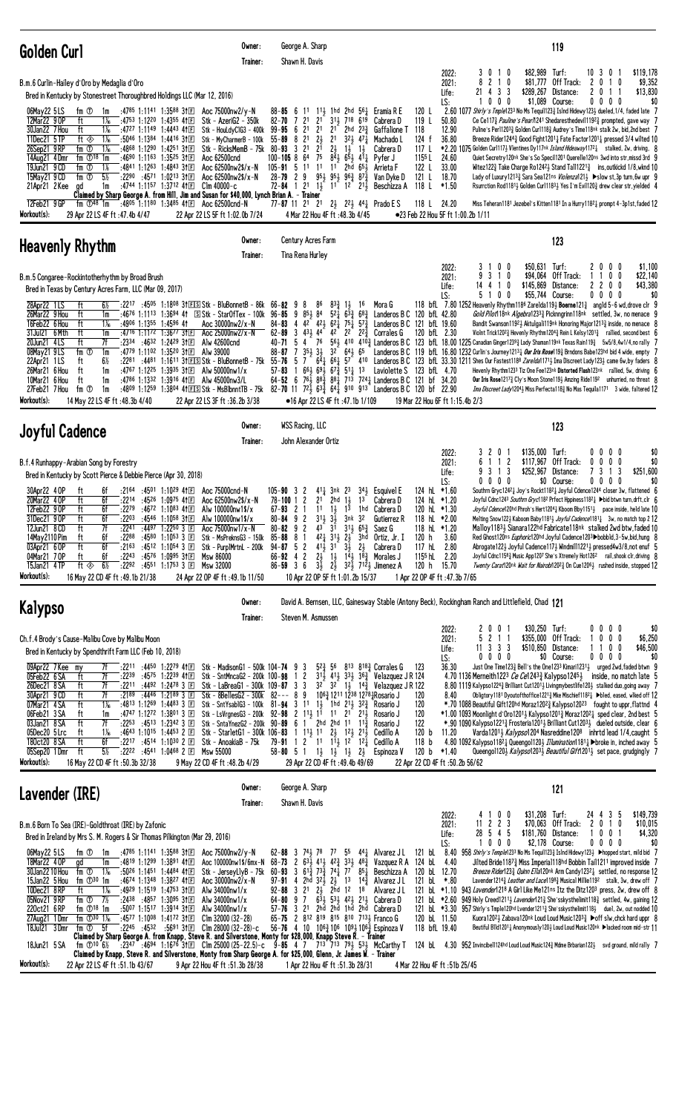| Golden Curl                                                                                                                                                                                                                                                                                                                                                                                                                                                                                                                                                                                                                                                                                                                                                                                                                                                                                                                                                                                                                                                                                                                                                                                                                                                                                                                                                                                                                                                                | Owner:<br>Trainer: | George A. Sharp<br>Shawn H. Davis                                                                                                                                                                                                                                                                                                                                                                                                                                                                                                                                                                                                                                                                                                                                                                                      |                                                                                                                                                                                                                                                                                          |                                                                                                                                                                                                                                                                                                  |                                                                                                                                                                                    | 119                                                                                                                                                                                                                                                                                                                                                                                                                                                                                                                                                                                                                                                                                                                                                                                                                                                                                                                                                                                                                                                                                                                                                                                                                                                                                                                                                                                                                      |
|----------------------------------------------------------------------------------------------------------------------------------------------------------------------------------------------------------------------------------------------------------------------------------------------------------------------------------------------------------------------------------------------------------------------------------------------------------------------------------------------------------------------------------------------------------------------------------------------------------------------------------------------------------------------------------------------------------------------------------------------------------------------------------------------------------------------------------------------------------------------------------------------------------------------------------------------------------------------------------------------------------------------------------------------------------------------------------------------------------------------------------------------------------------------------------------------------------------------------------------------------------------------------------------------------------------------------------------------------------------------------------------------------------------------------------------------------------------------------|--------------------|------------------------------------------------------------------------------------------------------------------------------------------------------------------------------------------------------------------------------------------------------------------------------------------------------------------------------------------------------------------------------------------------------------------------------------------------------------------------------------------------------------------------------------------------------------------------------------------------------------------------------------------------------------------------------------------------------------------------------------------------------------------------------------------------------------------------|------------------------------------------------------------------------------------------------------------------------------------------------------------------------------------------------------------------------------------------------------------------------------------------|--------------------------------------------------------------------------------------------------------------------------------------------------------------------------------------------------------------------------------------------------------------------------------------------------|------------------------------------------------------------------------------------------------------------------------------------------------------------------------------------|--------------------------------------------------------------------------------------------------------------------------------------------------------------------------------------------------------------------------------------------------------------------------------------------------------------------------------------------------------------------------------------------------------------------------------------------------------------------------------------------------------------------------------------------------------------------------------------------------------------------------------------------------------------------------------------------------------------------------------------------------------------------------------------------------------------------------------------------------------------------------------------------------------------------------------------------------------------------------------------------------------------------------------------------------------------------------------------------------------------------------------------------------------------------------------------------------------------------------------------------------------------------------------------------------------------------------------------------------------------------------------------------------------------------------|
| B.m.6 Curlin-Hailey d'Oro by Medaglia d'Oro<br>Bred in Kentucky by Stonestreet Thoroughbred Holdings LLC (Mar 12, 2016)                                                                                                                                                                                                                                                                                                                                                                                                                                                                                                                                                                                                                                                                                                                                                                                                                                                                                                                                                                                                                                                                                                                                                                                                                                                                                                                                                    |                    |                                                                                                                                                                                                                                                                                                                                                                                                                                                                                                                                                                                                                                                                                                                                                                                                                        |                                                                                                                                                                                                                                                                                          |                                                                                                                                                                                                                                                                                                  | 2022:<br>2021:<br>Life:<br>LS:                                                                                                                                                     | \$119,178<br>3010<br>\$82,989 Turf:<br>10 3 0 1<br>$2 \t1 \t0$<br>\$81,777<br>Off Track:<br>\$9,352<br>8<br>20<br>10<br>\$13,830<br>4 3 3<br>\$289,267 Distance:<br>21<br>2011<br>0<br>\$1,089 Course:<br>\$0<br>0<br>0<br>0000<br>-1                                                                                                                                                                                                                                                                                                                                                                                                                                                                                                                                                                                                                                                                                                                                                                                                                                                                                                                                                                                                                                                                                                                                                                                    |
| :4785 1:1141 1:3588 3111<br>Aoc 75000nw2/y-N<br>06May22 5LS<br>fm ①<br>1m<br>12Mar22 90P<br>ft<br>:4753 1:1220 1:4355 41 $E$<br>Stk - AzeriG2 - 350k<br>1‰<br>30Jan22 7 Hou<br>ft<br>1‰<br>:4727 1:1149 1:4443 411回<br>Stk - HouLdyCIG3 - 400k<br>11Dec21 5TP<br>ft $\otimes$<br>$1\%$<br>$:50^{46}$ 1:1384 1:4416 31 $E$<br>Stk - MyCharmerB - 100k<br>26Sep21 9RP<br>fm ①<br>$1\%$<br>:4868 1:1290 1:4251 3†国<br>14Aug21 4Dmr<br>fm $\mathbb{O}^{18}$ 1m<br>:4690 1:1163 1:3525 3111<br>Aoc 62500cnd<br>19Jun21 9 CD<br>fm ①<br>$1\%$<br>:4841 1:1263 1:4843 311日<br>Aoc 62500nw2\$/x-N<br>$5\%$<br>:2290 :4571 1:0213 3111<br>15May21 9 CD<br>fm ①<br>Aoc 62500nw2\$/x-N<br>:4744 1:1157 1:3712 4111<br>21Apr21 2 Kee<br>1m<br>C1m 40000-c<br>ad<br>Claimed by Sharp George A. from Hill, Jim and Susan for \$40,000, Lynch Brian A. - Trainer<br>12Feb21 9GP<br>:4805 1:1180 1:3485 41 E Aoc 62500 cnd-N<br>fm $\mathbb{O}^{48}$ 1m                                                                                                                                                                                                                                                                                                                                                                                                                                                                                                                                    |                    | 88–85 6 11 11 11 11 2hd 56 Eramia R E<br>2 <sup>1</sup><br>$82 - 70$ 7 21<br>2 <sup>1</sup><br>99-95 6 21<br>$2\frac{1}{2}$<br>2 <sup>1</sup><br>$55 - 89$ 8<br>$2^{1}$<br>Stk - RicksMemB - 75k 80-93 3 21<br>75<br>$100 - 105$ 8 64<br>105-91 5 11 11 11 2hd $65\frac{1}{2}$<br>$28 - 79$ 2 9 $95\frac{1}{2}$ $95\frac{1}{2}$ $96\frac{3}{4}$ $87\frac{3}{4}$<br>$72 - 84$ 1 2 <sup>1</sup> 1 <sup>1</sup> 1 <sup>2</sup> 2 <sup>1</sup> <sup>1</sup><br>77-87 11 2 <sup>1</sup> 2 <sup>1</sup> 2 <sup>1</sup> 2 <sup>2</sup> 2 <sup>2</sup> <sup>2</sup> 4 <sup>4</sup> <sup>1</sup> Prado E S                                                                                                                                                                                                                      | 311 718 619<br>$2^{1}$<br>2hd $2^{3}\frac{3}{4}$<br>2 <sup>1</sup><br>$3^2\frac{1}{2}$ 47 $\frac{1}{4}$<br>$2\frac{1}{2}$<br>$1\frac{1}{2}$ $1\frac{1}{2}$<br>$8\overline{4}$ $\overline{5}$ $\overline{4}$ $\overline{1}$ $\overline{4}$                                                | 120 L<br>119 L<br>Cabrera D<br>Gaffalione T 118<br>124 f<br>Machado L<br>117 L<br>Cabrera D<br>1155 L<br>Pyfer J<br>122 L<br>Arrieta F<br>Van Dyke D<br>121 L<br>Beschizza A<br>118 L                                                                                                            | 50.80<br>12.90<br>36.80<br>24.60<br>33.00<br>18.70<br>$*1.50$<br>118 L 24.20                                                                                                       | 2.60 1077 Shirly's Tmple1233 No Ms Tequil1233 Islnd Hidewy1233 dueled, 1/4, faded late 7<br>Ce Ce117 <sub>3</sub> Pauline's Pear/1241 Shedaresthedevil1192 <sub>3</sub> prompted, gave way 7<br>Puline's Per11203 $\frac{3}{4}$ Golden Curl118 $\frac{3}{4}$ Audrey's Time118 <sup>nk</sup> stalk 2w, bid, 2nd best 7<br>Breeze Rider1244 $\frac{3}{4}$ Good Fight1201 $\frac{1}{4}$ Fate Factor1201 $\frac{1}{4}$ pressed 3/4 wilted 10<br>*2.20 1075 Golden Curl117½ Vlentines Dy117 <sup>nk</sup> <i>Island Hideaway</i> 17 <sup>2</sup> $\frac{1}{4}$ stalked, 2w, driving, 8<br>Quiet Secretry120nk She's So Specil1201 Querelle120ns 3wd into str, missd 3rd 9<br>Witez122 $\frac{3}{4}$ Take Charge Ro1242 $\frac{1}{2}$ Stand Tall1221 $\frac{3}{4}$ ins, outkickd 1/8, wknd 10<br>Lady of Luxury12133 Sara Sea121ns <i>Violenza</i> 1213 ▶ slow st, 3p turn, 6w upr 9<br>Rsurrction Rod11811, Golden Curl11831, Yes I'm Evil1201 drew clear str, yielded 4<br>Miss Teheran1181 Jezebel's Kitten1181 In a Hurry1182 $\frac{1}{4}$ prompt 4-3p1st, faded 12                                                                                                                                                                                                                                                                                                                                                       |
| Workout(s):<br>22 Apr 22 LS 5F ft 1:02.0b 7/24<br>29 Apr 22 LS 4F ft :47.4b 4/47                                                                                                                                                                                                                                                                                                                                                                                                                                                                                                                                                                                                                                                                                                                                                                                                                                                                                                                                                                                                                                                                                                                                                                                                                                                                                                                                                                                           |                    | 4 Mar 22 Hou 4F ft : 48.3b 4/45                                                                                                                                                                                                                                                                                                                                                                                                                                                                                                                                                                                                                                                                                                                                                                                        |                                                                                                                                                                                                                                                                                          |                                                                                                                                                                                                                                                                                                  | ●23 Feb 22 Hou 5F ft 1:00.2b 1/11                                                                                                                                                  |                                                                                                                                                                                                                                                                                                                                                                                                                                                                                                                                                                                                                                                                                                                                                                                                                                                                                                                                                                                                                                                                                                                                                                                                                                                                                                                                                                                                                          |
| Heavenly Rhythm                                                                                                                                                                                                                                                                                                                                                                                                                                                                                                                                                                                                                                                                                                                                                                                                                                                                                                                                                                                                                                                                                                                                                                                                                                                                                                                                                                                                                                                            | Owner:<br>Trainer: | Century Acres Farm<br>Tina Rena Hurley                                                                                                                                                                                                                                                                                                                                                                                                                                                                                                                                                                                                                                                                                                                                                                                 |                                                                                                                                                                                                                                                                                          |                                                                                                                                                                                                                                                                                                  | 2022:                                                                                                                                                                              | 123<br>$0\quad 0$<br>\$50,631 Turf:<br>0 <sub>0</sub><br>\$1,100<br>20                                                                                                                                                                                                                                                                                                                                                                                                                                                                                                                                                                                                                                                                                                                                                                                                                                                                                                                                                                                                                                                                                                                                                                                                                                                                                                                                                   |
| B.m.5 Congaree-Rockintotherhythm by Broad Brush<br>Bred in Texas by Century Acres Farm, LLC (Mar 09, 2017)<br>$6\%$<br>28Apr22 1LS<br>ft<br>:2217 :4505 1:1808 31 E Stk - BluBonnet B - 86k<br>:4676 1:1113 1:3694 41 SStk - StarOfTex - 100k 96-85 9 853 84<br>26Mar22 9 Hou<br>ft<br>1m<br>16Feb22 6 Hou<br>ft<br>1‰<br>$:4906$ 1:1355 1:4596 41<br>Aoc 30000nw2/x-N<br>31Jul21 6 Mth<br>ft<br>:4716 1:1172 1:3677 311回<br>Aoc 25000nw2/x-N<br>1m<br>20Jun21 4LS<br>ft<br>7f<br>:2334 :4632 1:2429 31 El Alw 42600cnd<br>08May21 9LS<br>fm ①<br>:4779 1:1102 1:3520 31 E Alw 39000<br>1m<br>$6\%$<br>ft<br>:2281 :4481 1:1611 31 ELS Stk - BluBonnetB - 75k<br>22Apr21 1LS<br>26Mar21 6 Hou<br>ft<br>1m<br>:4767 1:1225 1:3935 31 $E$ Alw 50000nw1/x<br>10Mar21 6 Hou<br>ft<br>:4786 1:1332 1:3916 41E Alw 45000nw3/L<br>1m<br>:4809 1:1259 1:3804 41 ELSI Stk - MsBlbnntTB - 75k 82-70 11 72 $\frac{3}{2}$ 63 $\frac{3}{2}$ 64 $\frac{1}{4}$ 910 913 Landeros B C 120 bf 22.90<br>27Feb21 7 Hou<br>fm ①<br>1m<br>Workout(s):<br>14 May 22 LS 4F ft: 48.3b 4/40<br>22 Apr 22 LS 3F ft :36.2b 3/38                                                                                                                                                                                                                                                                                                                                                                        |                    | 66-82 98<br>86<br>84-83 4 4 <sup>2</sup> 4 <sup>2</sup> 6 <sup>2</sup> 7 <sup>5</sup> 7 <sup>5</sup> 5 <sup>7</sup> 142 <sup>3</sup> Landeros B C 121 bfL 19.60<br>$3\;\;43\frac{1}{2}\;\;44$<br>$62 - 89$<br>76<br>40-71 5 4<br>$35\frac{1}{2}$ $3\frac{1}{2}$<br>88-87<br>7<br>$55 - 76$ 5<br>$57 - 83$<br>$\overline{1}$<br>$64 - 52 = 6$<br>•16 Apr 22 LS 4F ft :47.1b 1/109                                                                                                                                                                                                                                                                                                                                                                                                                                       | $83\frac{3}{4}$ 1, 16<br>$42^{\circ}$<br>$3^{2}$ 641 65<br>$66\frac{1}{2}$ $69\frac{1}{2}$ $67\frac{3}{4}$ $51\frac{1}{4}$ 13                                                                                                                                                            | Mora G<br>$5^{2}$ $\frac{1}{4}$ $6^{3}$ $\frac{3}{4}$ $6^{8}$ $\frac{3}{4}$ Landeros B C 120 bfL 42.80<br>$2^2$ $2^2$ Corrales G<br>Laviolette S 123 bfL 4.70<br>76 88 88 88 713 724 Landeros B C 121 bf 34.20                                                                                   | 2021:<br>Life:<br>LS:<br>120 bfL 2.30<br>19 Mar 22 Hou 6F ft 1:15.4b 2/3                                                                                                           | 3 1 0<br>\$94,064 Off Track:<br>1100<br>\$22,140<br>9<br>\$145,869 Distance:<br>2 2 0 0<br>\$43,380<br>14<br>4 1 0<br>100<br>\$55,744 Course:<br>$0\,0\,0\,0$<br>5<br>\$0<br>118 bfL 7.80 1252 Heavenly Rhythm118 <sup>6</sup> ZareIda119 $\frac{1}{2}$ Boerne121 $\frac{3}{4}$ angId 5-6 wd, drove cIr 9<br>Gold Pilot118nk Algebra12333 Picknngrinn118nk settled, 3w, no menace 9<br>Bandit Swanson11921 Aktulgali119nk Honoring Major12133 inside, no menace 8<br>Violnt Trick120 <sup>2</sup> $\frac{3}{4}$ Hevenly Rhythm120 <sup>4</sup> $\frac{3}{4}$ Rein L Kelsy120 <sup>1</sup> $\frac{3}{4}$ rallied, second best 6<br>$56\frac{1}{2}$ 410 410 $\frac{3}{4}$ Landeros B C 123 bfl 18.00 1225 Canadian Ginger1239 $\frac{3}{4}$ Lady Shaman119nk Texas Rain119 $\frac{3}{4}$ 5w5/8,4w1/4,no rally 7<br>Landeros B C 119 bfl 16.80 1232 Curlin's Journey 12131 Our Iris Rose1192 Brndons Babe123hd bid 4 wide, empty 7<br>7 641 661 57 410 Landeros B C 123 bfl. 33.30 1211 Shes Our Fastest1188 ZareIda11713 Ima Discreet Lady1233 came 6w, by faders 8<br>Hevenly Rhythm1233 Tiz One Fee123nk Distorted Flash123nk rallied, 5w, driving 6<br><b>Our Iris Rose</b> 1217 $\frac{3}{4}$ Cly's Moon Stone 119 $\frac{1}{4}$ Amzing Ride 119 <sup>2</sup> unhurried, no threat 8<br><i>Ima Discreet Lady</i> 120 <sup>4</sup> > Miss Perfecta 118 <sup>3</sup> No Mas Tequila 117 <sup>1</sup> 3 wide, faltered 12 |
| <b>Joyful Cadence</b>                                                                                                                                                                                                                                                                                                                                                                                                                                                                                                                                                                                                                                                                                                                                                                                                                                                                                                                                                                                                                                                                                                                                                                                                                                                                                                                                                                                                                                                      | Owner:             | <b>WSS Racing, LLC</b>                                                                                                                                                                                                                                                                                                                                                                                                                                                                                                                                                                                                                                                                                                                                                                                                 |                                                                                                                                                                                                                                                                                          |                                                                                                                                                                                                                                                                                                  |                                                                                                                                                                                    | 123                                                                                                                                                                                                                                                                                                                                                                                                                                                                                                                                                                                                                                                                                                                                                                                                                                                                                                                                                                                                                                                                                                                                                                                                                                                                                                                                                                                                                      |
| B.f.4 Runhappy-Arabian Song by Forestry<br>Bred in Kentucky by Scott Pierce & Debbie Pierce (Apr 30, 2018)<br>6f<br>:2164<br>30Apr22 4 OP<br>:4501 1:1029 41 $E$<br>Aoc 75000cnd-N<br>ft<br>20Mar22 4 OP<br>ft<br>6f<br>:2214<br>:4526 1:0975 411回<br>Aoc 62500nw2\$/x-N                                                                                                                                                                                                                                                                                                                                                                                                                                                                                                                                                                                                                                                                                                                                                                                                                                                                                                                                                                                                                                                                                                                                                                                                   | Trainer:           | John Alexander Ortiz<br>$105 - 90$ 3 2<br>$78 - 100$ 1 2                                                                                                                                                                                                                                                                                                                                                                                                                                                                                                                                                                                                                                                                                                                                                               | $41\frac{1}{2}$ 3nk $2^3$ $3^4\frac{1}{2}$ Esquivel E<br>$21$ 2hd $11$ 1 <sup>3</sup> Cabrera D                                                                                                                                                                                          |                                                                                                                                                                                                                                                                                                  | 2022:<br>2021:<br>Life:<br>LS:<br>124 hL $*1.60$<br>124 hL *1.20                                                                                                                   | 0 <sub>1</sub><br>$$135,000$ Turf:<br>$0\quad 0$<br>\$0<br>32<br>$0\quad 0$<br>1 1 2<br>\$117,967 Off Track:<br>$0\quad0$<br>$0\quad 0$<br>\$0<br>6<br>\$252,967 Distance:<br>3 1 3<br>7 3 1 3<br>\$251,600<br>0000<br>\$0 Course:<br>$0\,0\,0\,0$<br>\$0<br>Southrn Gryc12421 Joy's Rockt11821 Joyful Cdence1244 closer 3w, flattened 6<br>Joyful Cdnc1243 Southrn Gryc1182 Prfect Hppiness11821 >bid btwn turn, drft, clr 6                                                                                                                                                                                                                                                                                                                                                                                                                                                                                                                                                                                                                                                                                                                                                                                                                                                                                                                                                                                            |
| 12Feb22 9 OP<br>ft<br>6f<br>:2279<br>:4672 1:1083 411回<br>Alw 100000nw1\$/x<br>:2203<br>ft<br>6f<br>:4546 1:1058 311回<br>31Dec21 9 OP<br>Alw 100000nw1\$/x<br>ft<br>7f<br>:4497 1:2250 3 $E$ Aoc 75000nw1/x-N<br>12Jun21 8 CD<br>:2241<br>14May 2110 Pim<br>6f<br>:2288<br>:4580 1:1053 3 $E$<br>Stk - MsPreknsG3 - 150k<br>ft<br>ft<br>:2163<br>:4512 1:1054 3 国<br>03Apr21 6 OP<br>6f<br>Stk - Purp1MrtnL - 200k<br>6f<br>:2243<br>:4576 1:0995 3111<br>04Mar21 70P<br>Msw 86000<br>ft<br>$6\frac{1}{2}$<br>15Jan21 4TP<br>ft $\otimes$<br>:2292 :4551 1:1753 3 $E$<br>Msw 32000<br>Workout(s):<br>16 May 22 CD 4F ft: 49.1b 21/38<br>24 Apr 22 OP 4F ft: 49.1b 11/50                                                                                                                                                                                                                                                                                                                                                                                                                                                                                                                                                                                                                                                                                                                                                                                                    |                    | 11<br>$67 - 93$ 2 1<br>$80 - 84$ 9 2<br>80-82 9 2 43 $3^{1}$ 31 $5^{5}$ Saez G<br>$85 - 88$ 8<br>-1<br>$94 - 87$ 5 2<br>$4^{11}$ 3 <sup>1</sup><br>$66 - 92$ 4 2<br>$2\frac{1}{2}$<br>$86 - 59$ 3 6<br>10 Apr 22 OP 5F ft 1:01.2b 15/37                                                                                                                                                                                                                                                                                                                                                                                                                                                                                                                                                                                | $1\frac{1}{2}$<br>$3^{11}$ $3^{1}$ $3^{1}$ $3^{1}$ $3^{1}$<br>$42\frac{1}{4}$ $31\frac{1}{2}$ $2\frac{1}{2}$<br>$3\frac{1}{2}$<br>$2\frac{1}{2}$<br>$1\frac{1}{2}$ $14\frac{1}{2}$ $18\frac{3}{4}$ Morales J<br>$3\frac{1}{2}$ $2\frac{1}{2}$ $32\frac{1}{2}$ $712\frac{1}{2}$ Jimenez A | $1^{\overline{3}}$ 1hd Cabrera D<br>Gutierrez R<br>3hd Ortiz, Jr. I<br>120 h<br>117 hL<br>Cabrera D<br>1155 hL<br>120 h                                                                                                                                                                          | 120 hL *1.30<br>118 hL $*2.00$<br>118 hL $*1.20$<br>3.60<br>2.80<br>2.20<br>15.70<br>1 Apr 22 OP 4F ft :47.3b 7/65                                                                 | Joyful Cdence120hd Phroh's Hert12041 Kboom Bby11511 pace inside, held late 10<br>Melting Snow122½ Kaboom Baby1181½ Joyful Cadence1181½ 3w, no match top 2 12<br>Malloy11834 Sianara122hd Fabricate118nk stalked 2wd btw, faded 10<br>Red Ghost120ns <i>Euphoric</i> 120hd Joyful Cadence120 <sup>3</sup> >bobbld, 3-5w, bid, hung 8<br>Abrogate122} Joyful Cadence117} Windmil11221} pressed4w3/8, not enuf 5<br>Joyful Cdnc11583 Music App1207 She's Xtremely Hot1262 rail, shook clr, driving 8<br>Twenty Carat120nk Wait for Nairobi12023 On Cue12061 rushed inside, stopped 12                                                                                                                                                                                                                                                                                                                                                                                                                                                                                                                                                                                                                                                                                                                                                                                                                                       |
| <b>Kalypso</b>                                                                                                                                                                                                                                                                                                                                                                                                                                                                                                                                                                                                                                                                                                                                                                                                                                                                                                                                                                                                                                                                                                                                                                                                                                                                                                                                                                                                                                                             | Owner:<br>Trainer: | Steven M. Asmussen                                                                                                                                                                                                                                                                                                                                                                                                                                                                                                                                                                                                                                                                                                                                                                                                     |                                                                                                                                                                                                                                                                                          |                                                                                                                                                                                                                                                                                                  |                                                                                                                                                                                    | David A. Bernsen, LLC, Gainesway Stable (Antony Beck), Rockingham Ranch and Littlefield, Chad 121                                                                                                                                                                                                                                                                                                                                                                                                                                                                                                                                                                                                                                                                                                                                                                                                                                                                                                                                                                                                                                                                                                                                                                                                                                                                                                                        |
| Ch.f.4 Brody's Cause-Malibu Cove by Malibu Moon<br>Bred in Kentucky by Spendthrift Farm LLC (Feb 10, 2018)<br>09Apr22 7Kee my<br>:2211 :4450 1:2279 41 $\Box$<br>7f<br>05Feb22 6 SA<br>7f<br>:2239<br>:45 <sup>75</sup> 1:22 <sup>39</sup> 411回<br>ft<br>7f<br>26Dec21 8 SA<br>ft<br>$:22^{11}$ $:44^{92}$ 1:24 <sup>78</sup> 3 $E$<br>7f<br>$:2189$ $:4446$ 1:2189 3 E<br>30Apr21 9 CD<br>ft<br>07Mar21 4 SA<br>$1\%$<br>ft<br>:4813 1:1269 1:4483 3 $E$<br>06Feb21 3 SA<br>ft<br>:4747 1:1272 1:3801 3 $\Box$<br>1m<br>ft<br>03Jan21 8 SA<br>7f<br>:2253<br>:4513 1:2342 3 国<br>05Dec20 5 Lrc<br>ft<br>$1\%$<br>:4643 1:1015 1:4453 2 $\Box$<br>ft<br>6f<br>180ct20 8 SA<br>:2217 :4514 1:10 <sup>30</sup> 2 $\Box$<br>Stk - AnoakiaB - 75k<br>ft<br>$5\%$<br>05Sep20 1Dmr<br>:2222 :4541 1:0468 2 $\boxed{E}$<br>Msw 55000<br>Workout(s):<br>16 May 22 CD 4F ft :50.3b 32/38<br>9 May 22 CD 4F ft: 48.2b 4/29                                                                                                                                                                                                                                                                                                                                                                                                                                                                                                                                                           |                    | Stk - MadisonG1 - 500k 104-74 9 3<br>Stk - SntMncaG2 - 200k 100-98 1 2<br>Stk - LaBreaG1 - 300k 109-87 3 3<br>Stk - 8BellesG2 - $300k$ 82--- 8 9<br>Stk - SntYsablG3 - 100k 81-94 3 11 13 1hd 213 32 $\frac{3}{4}$<br>Stk - LsVrgnesG3 - 200k 92-98 2 1 <sup>1</sup> / <sub>2</sub> 1 <sup>1</sup> 1 <sup>1</sup> 2 <sup>1</sup> 2 <sup>1</sup> / <sub>3</sub><br>Stk - SntaYnezG2 - 200k $90 - 89$ 6 1 2hd 2hd 11 11 $\frac{3}{4}$<br>Stk - StarletG1 - 300k 106-83 1 1 <sup>1</sup> / <sub>2</sub> 1 <sup>1</sup> 2 <sup>1</sup> / <sub>2</sub> 1 <sup>2</sup> / <sub>2</sub> 2 <sup>1</sup> / <sub>2</sub><br>79-91 1 2 1 <sup>1</sup> 1 <sup>1</sup> 1 <sup>2</sup> 1 <sup>2</sup> 1 <sup>2</sup><br>$58 - 80$ 5 1 $1\frac{1}{2}$ $1\frac{1}{2}$ $1\frac{1}{2}$ $2\frac{1}{2}$<br>29 Apr 22 CD 4F ft : 49.4b 49/69 | $5^{2}$ $\frac{3}{2}$ $5^{6}$ $8^{13}$ $8^{18}$ $\frac{3}{2}$ Corrales G<br>1063 1211 1238 1278 Rosario J                                                                                                                                                                                | 123<br>$3^{11}$ , 41 <sup>1</sup> / <sub>2</sub> $3^{31}$ , 3 <sup>6</sup> <sup>3</sup> Velazquez J R 124<br>$3^2$ $3^2$ $1^1$ , $1^4$ Velazquez J R 122<br>120<br>120<br>Rosario J<br>Rosario J<br>120<br>122<br>Rosario J<br>Cedillo A<br>120 b<br>118 <sub>b</sub><br>Cedillo A<br>Espinoza V | 2022:<br>2021:<br>Life:<br>LS:<br>36.30<br>8.40<br>11.20<br>120 b $*1.40$<br>22 Apr 22 CD 4F ft :50.2b 56/62                                                                       | 2001<br>\$30,250 Turf:<br>0000<br>\$0<br>2 1 1<br>\$355,000 Off Track:<br>10<br>$0\quad0$<br>\$6,250<br>$11$ 3 3 3<br>\$510,850 Distance:<br>1100<br>\$46,500<br>$0\ 0\ 0\ 0$<br>\$0 Course:<br>$0\,0\,0\,0$<br>\$0<br>Just One Time1233 Bell's the One1233 Kimari12313 urged 2wd, faded btwn 9<br>4.70 1136 Merneith1223 Ce Ce1243 $^3_4$ Kalypso1245 $^1_2$ inside, no match late 5<br>8.80 1119 Kalypso1224 $\frac{3}{4}$ Brilliant Cut1201 $\frac{1}{2}$ Livingmybestlife120 $\frac{1}{2}$ stalked duo, going away 7<br>Obligtory1181 Dyoutofthoffice12213 Mke Mischief11821 >bled, eased, wlked off 12<br>*.70 1088 Beautiful Gift120hd Moraz12023 Kalypso12023 fought to uppr, flattnd 4<br>$*1.00$ 1093 Moonlight d'Oro1201 $\frac{1}{2}$ Kalypso1201 $\frac{3}{4}$ Moraz1202 $\frac{1}{4}$ sped clear, 2nd best 5<br>*.90 1090 Kalypso12213 Frosteria12013 Brilliant Cut12033 dueled outside, clear 6<br>Varda12013 Kalypso1204 Nasreddine1208 inhrtd lead 1/4, caught 5<br>4.80 1092 Kalypso1182 Queengol120 <i>Illumination</i> 181 broke in, inched away 5<br>Queengol120} Kalypso1203} Beautiful Gift1201} set pace, grudgingly 7                                                                                                                                                                                                                                                                            |
| Lavender (IRE)                                                                                                                                                                                                                                                                                                                                                                                                                                                                                                                                                                                                                                                                                                                                                                                                                                                                                                                                                                                                                                                                                                                                                                                                                                                                                                                                                                                                                                                             | Owner:<br>Trainer: | George A. Sharp<br>Shawn H. Davis                                                                                                                                                                                                                                                                                                                                                                                                                                                                                                                                                                                                                                                                                                                                                                                      |                                                                                                                                                                                                                                                                                          |                                                                                                                                                                                                                                                                                                  |                                                                                                                                                                                    | 121                                                                                                                                                                                                                                                                                                                                                                                                                                                                                                                                                                                                                                                                                                                                                                                                                                                                                                                                                                                                                                                                                                                                                                                                                                                                                                                                                                                                                      |
| B.m.6 Born To Sea (IRE)-Goldthroat (IRE) by Zafonic<br>Bred in Ireland by Mrs S. M. Rogers & Sir Thomas Pilkington (Mar 29, 2016)<br>06May22 5LS<br>fm ①<br>:4785 1:1141 1:3588 31 $E$<br>Aoc 75000nw2/y-N<br>1m<br>18Mar22 40P<br>:4819 1:1299 1:3891 41日<br>Aoc 100000nw1\$/6mx-N<br>1m<br>gd<br>30Jan22 10 Hou<br>$1\%$<br>:5026 1:1451 1:4484 41 $\mathbb{E}$<br>Stk - JerseyLlyB - 75k<br>fm ①<br>15Jan22 5 Hou<br>fm $\mathbb{D}^{30}$ 1m<br>:4674 1:1348 1:3827 411日<br>Aoc $30000$ nw $2/x - N$<br>10Dec21 8RP<br>ft<br>1‰<br>:4929 1:1519 1:4753 31 $E$<br>Alw 34000nw1/x<br>$\mathop{\text{fm}}\nolimits$ $\overline{0}$ $\overline{12}$<br>05Nov21 9RP<br>:2438 :4857 1:3095 31 $\mathbb{E}$<br>Alw 34000nw1/x<br>:5007 1:1517 1:3914 31回<br>220ct21 6RP<br>fm $\mathbb{D}^{18}$ 1m<br>Alw 34000nw1/x<br>:4577 1:1008 1:4172 31 $\Box$<br>27Aug21 1Dmr<br>fm $\Phi^{30}$ 1 <sup>%</sup><br>Clm 32000 (32-28)<br>18Jul21 3Dmr<br>fm ①<br>- 5f<br>$:22^{45}$ $:45^{32}$ $:56^{91}$ 31 E<br>C1m 28000 (32–28)–c<br>Claimed by Sharp George A. from Knapp, Steve R. and Silverstone, Monty for \$28,000, Knapp Steve R. - Trainer<br>fm $\Phi$ 10 6% : 2347 : 4694 1:1676 31 E Clm 25000 (25-22.5)-c 9-85 4 7 713 713 793 533 McCarthy T<br>18Jun21 5 SA<br>Claimed by Knapp, Steve R. and Silverstone, Monty from Sharp George A. for \$25,000, Glenn, Jr. James W. - Trainer<br>Workout(s):<br>22 Apr 22 LS 4F ft :51.1b 43/67<br>9 Apr 22 Hou 4F ft :51.3b 28/38 |                    | 62-88<br>-3<br>741<br>78<br>$68 - 73$<br>$\overline{c}$<br>60-93 3 61 <sup>3</sup> / <sub>4</sub> 7 <sup>3</sup> / <sub>4</sub> 7 <sup>4</sup> / <sub>4</sub> 7 <sup>7</sup> 8 <sup>5</sup> / <sub>4</sub><br>2hd 321 21<br>$97 - 91$ 4<br>$92 - 88$ 3 21<br>$64 - 80$ 9 7<br>57-76 3 21 2hd 2hd 1hd 2hd Cabrera D<br>65-75 2 812 819 815 810 7133 Franco G<br>56-76 4 10 106 $\frac{3}{4}$ 106 109 $\frac{1}{2}$ 106 $\frac{3}{4}$ Espinoza V<br>1 Apr 22 Hou 4F ft :51.3b 28/31                                                                                                                                                                                                                                                                                                                                      | $77 \t55 \t44\frac{1}{4}$<br>$63\frac{1}{2}$ 41 $42\frac{3}{4}$ 33 $48\frac{3}{4}$<br>1 <sup>3</sup><br>$2\frac{1}{2}$ 2hd 12 18<br>$6\overline{3}$ 53 42 $42\overline{3}$ 21 Cabrera D                                                                                                  | 121 bL<br>Alvarez J L<br>Vazquez R A<br>Beschizza A<br>$14\frac{3}{4}$ Alvarez J L<br>Alvarez J L                                                                                                                                                                                                | 2022:<br>2021:<br>Life:<br>LS:<br>124 bL 4.40<br>120 bL 12.70<br>121 bL *.80<br>121 bL $*1.10$<br>121 bL $*2.60$<br>120 bL 11.50<br>118 bfL 19.40<br>4 Mar 22 Hou 4F ft :51b 25/45 | \$31,208 Turf:<br>3 <sub>5</sub><br>\$149,739<br>0 <sub>0</sub><br>244<br>-1<br>\$70,063 Off Track:<br>223<br>20<br>10<br>\$10,015<br>11.<br>5 4 5<br>\$181,760 Distance:<br>\$4,320<br>28<br>1001<br>$0\ 0\ 0$<br>\$2,178 Course:<br>1<br>0000<br>\$0<br>8.40 958 Shirly's Temple1233 No Ms Tequi11233 Islnd Hidewy1233 >hopped start, mild bid 7<br>Jilted Bride1187 $\frac{3}{4}$ Miss Imperial118hd Bobbin Tail1211 improved inside 7<br>Breeze Rider123 <sub>4</sub> Quinn Ella120nk Arm Candy1232 <sub>4</sub> settled, no response 12<br>Lavender12143 Leather and Lace11983 Musical Millie1192 stalk, 3w, drew off 7<br>943 Lavender1218 A Girl Like Me121ns Itz the Ditz1203 press, 2w, drew off 8<br>949 Holy Creed12113 Lavender1213 She sskysthelimit1183 settled, 4w, gaining 12<br>121 bL *3.30 957 Shirly's Tmple120hd Lvender1211 <sup>3</sup> She'sskysthelimit118 <sup>3</sup> duel, 2w, out nodded 10<br>Kuora1202 3 Zabava120nk Loud Loud Music1203 } ▶ boff slw, chck hard uppr 8<br>Beutiful B1ld1201‡ Anonymously120½ Loud Loud Music120nk ▶lacked room mid-str 11<br>124 bl. 4.30 952 Invincibel1124hd Loud Loud Music124 <sub>2</sub> Mdme Brbarian1223 svd ground, mild rally 7                                                                                                                                                                                                                |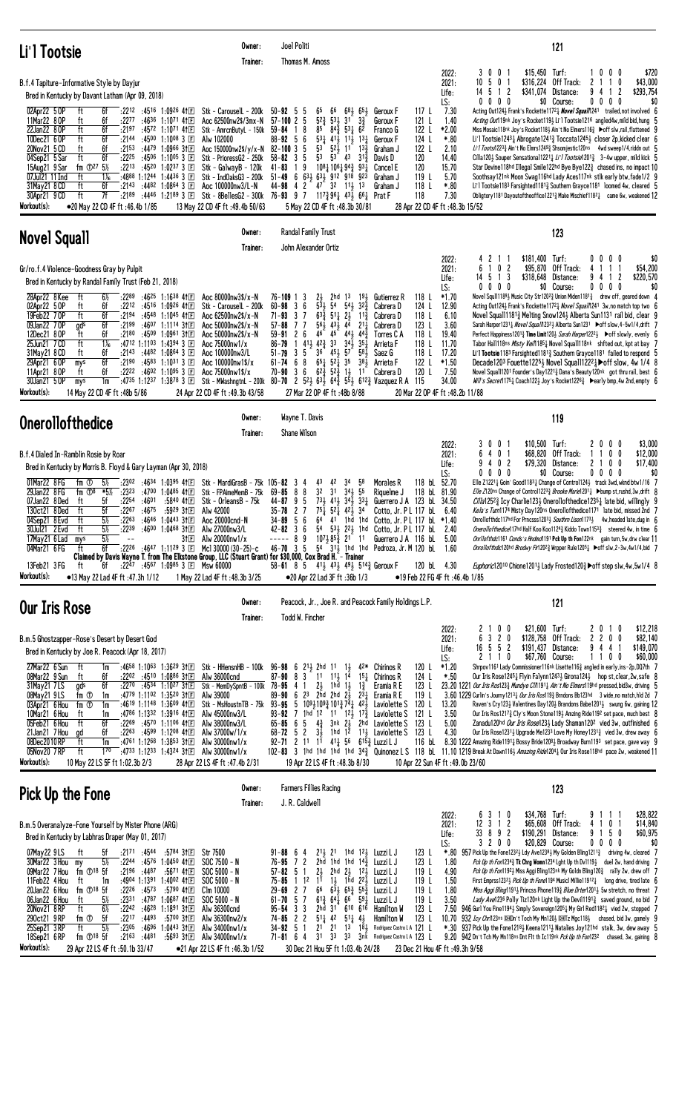| Li'l Tootsie                                                                                                                                                                                                                                                                                                                                                                                                                                                                                                                                                                                                                                                                                                                                                                                                                                                                                             | Owner:<br>Trainer:                                                                                                                                                                                                                                                                                     | Joel Politi<br>Thomas M. Amoss                                                                                                                                                                                                                                                                                                                                                                                                                                                                                                                                                                                                                                                                                                                             |                                                                                                                                                                                                                                                                                                                                                   | 121                                                                                                                                                                                                                                                                                                                                                                                                                                                                                                                                                                                                                                                                                                                                                                                                                                                                                                                                                                                                                                                                                                                                                                                                                                                                                                                                                                                      |
|----------------------------------------------------------------------------------------------------------------------------------------------------------------------------------------------------------------------------------------------------------------------------------------------------------------------------------------------------------------------------------------------------------------------------------------------------------------------------------------------------------------------------------------------------------------------------------------------------------------------------------------------------------------------------------------------------------------------------------------------------------------------------------------------------------------------------------------------------------------------------------------------------------|--------------------------------------------------------------------------------------------------------------------------------------------------------------------------------------------------------------------------------------------------------------------------------------------------------|------------------------------------------------------------------------------------------------------------------------------------------------------------------------------------------------------------------------------------------------------------------------------------------------------------------------------------------------------------------------------------------------------------------------------------------------------------------------------------------------------------------------------------------------------------------------------------------------------------------------------------------------------------------------------------------------------------------------------------------------------------|---------------------------------------------------------------------------------------------------------------------------------------------------------------------------------------------------------------------------------------------------------------------------------------------------------------------------------------------------|------------------------------------------------------------------------------------------------------------------------------------------------------------------------------------------------------------------------------------------------------------------------------------------------------------------------------------------------------------------------------------------------------------------------------------------------------------------------------------------------------------------------------------------------------------------------------------------------------------------------------------------------------------------------------------------------------------------------------------------------------------------------------------------------------------------------------------------------------------------------------------------------------------------------------------------------------------------------------------------------------------------------------------------------------------------------------------------------------------------------------------------------------------------------------------------------------------------------------------------------------------------------------------------------------------------------------------------------------------------------------------------|
| B.f.4 Tapiture-Informative Style by Dayjur<br>Bred in Kentucky by Davant Latham (Apr 09, 2018)                                                                                                                                                                                                                                                                                                                                                                                                                                                                                                                                                                                                                                                                                                                                                                                                           |                                                                                                                                                                                                                                                                                                        |                                                                                                                                                                                                                                                                                                                                                                                                                                                                                                                                                                                                                                                                                                                                                            |                                                                                                                                                                                                                                                                                                                                                   | $$15,450$ Turf:<br>300<br>10<br>0 <sub>0</sub><br>\$720<br>2022:<br>$10 \t5 \t0 \t1$<br>\$316,224 Off Track:<br>0<br>\$43,000<br>2<br>$\overline{1}$<br>2021:<br>-5<br>Distance:<br>9<br>2<br>\$293,754<br>Life:<br>2<br>\$341,074<br>14.<br>-1<br>4<br>-1<br>$0\ 0\ 0\ 0$<br>$0\ 0\ 0\ 0$<br>\$0<br>LS:<br>\$0 Course:                                                                                                                                                                                                                                                                                                                                                                                                                                                                                                                                                                                                                                                                                                                                                                                                                                                                                                                                                                                                                                                                  |
| 02Apr22 50P<br>6f<br>$:22^{12}$ $:45^{16}$ 1:0926 41 E<br>ft<br>ft<br>11Mar22 80P<br>6f<br>:2277<br>:4636 1:1071 411回<br>22Jan22 80P<br>ft<br>6f<br>:2197<br>:4572 1:1071 4113<br>10Dec21 6 OP<br>ft<br>6f<br>:2144<br>:4500 1:1008 3 国<br>:4479 1:0966 3111<br>20Nov21 5 CD<br>ft<br>6f<br>:2153<br>04Sep21 5 Sar<br>ft<br>6f<br>:2225<br>:4506<br>1:1005 3 国<br>15Aug21 9 Sar<br>fm $\Phi$ <sup>27</sup> 5 <sup>%</sup><br>:2213 :4520 1:0237 3 $\Box$<br>ft<br>$1\%$<br>:4888 1:1244 1:4436 3 1<br>07Jul21 11 Ind<br>31May21 8 CD<br>ft<br>6f<br>:2143 :4482 1:0864 3 $\Box$<br>7f<br>ft<br>:4446 1:2189 3 国<br>30Apr21 9 CD<br>:2189<br>Workout(s):<br>•20 May 22 CD 4F ft:46.4b 1/85                                                                                                                                                                                                                | Stk - Carouse1L - 200k<br>Aoc 62500nw2\$/3mx-N<br>Stk - AmrcnButyL - 150k<br>Alw 102000<br>Aoc 150000nw2\$/y/x-N 82-100 3 5<br>Stk - PrioressG2 - 250k<br>Stk - GalwayB - 120k<br>$Stk - IndOaksG3 - 200k$<br>Aoc 100000nw3/L-N<br>Stk - 8BellesG2 - 300k 76-93 9 7<br>13 May 22 CD 4F ft :49.4b 50/63 | $50 - 92$ 5 5<br>65<br>66<br>$52\frac{3}{4}$ $53\frac{1}{2}$<br>$57 - 100$ 2 5<br>3 <sup>1</sup><br>$84\frac{3}{4}$<br>85<br>$5^{3}$ <sup>1</sup><br>$59 - 84$ 1 8<br>$53\frac{1}{4}$ 41 $\frac{1}{2}$ 11 $\frac{1}{2}$<br>$88 - 92$ 5 6<br>5 <sup>3</sup><br>$5^{2}$<br>11<br>5 <sup>3</sup><br>$58 - 82$ 3<br>5<br>- 53<br>43<br>$41 - 83$<br>19<br>1081 1061 943 931<br>$51 - 49$ 6 631 631 912 918 923<br>$47^{\degree}$ 32 $11\frac{1}{2}$ 13<br>$44 - 98$ 4 2<br>$117\frac{3}{4}96\frac{1}{4}43\frac{1}{2}66\frac{1}{4}$ Prat F<br>5 May 22 CD 4F ft: 48.3b 30/81                                                                                                                                                                                    | 117 L<br>$68\frac{1}{2}$ $65\frac{1}{2}$<br>Geroux F<br>$3\frac{3}{4}$<br>6 <sup>2</sup><br>121 L<br>Geroux F<br>122 L<br>Franco G<br>$13\frac{1}{4}$<br>124 L<br>Geroux F<br>$13\frac{3}{7}$<br>122 L<br>Graham J<br>$31\frac{3}{7}$<br>120<br>Davis D<br>120<br>Cancel E<br>119 L<br>Graham J<br>118 L<br>Graham J<br>118                       | 7.30<br>Acting Out1243 Frank's Rockette11723 Novel Squall 241 trailed, not involved 6<br>1.40<br>Acting Out119nk Joy's Rocket1193 Li'l Tootsie1216 angled4w, mild bid, hung<br>*2.00<br>Miss Mosaic118nk Joy's Rocket118} Ain't No Elmers116} ▶off slw,rail, flattened 9<br>$*.80$<br>Li'l Tootsie12431 Abrogate12413 Toccata12451 closer 2p, kicked clear 6<br>2.10<br>1/1 Toots/12233 Ain't No Elmrs12493 Shsomjestic120ns 4wd sweep1/4,riddn out<br>14.40<br>Cilla120} Souper Sensational1221} Li'l Tootsie12013 3-4w upper, mild kick 5<br>15.70<br>Star Devine118hd Illegal Smile122hd Bye Bye122 <sup>3</sup> chased ins, no impact 10<br>5.70<br>Soothsay121nk Moon Swag116hd Lady Aces117nk stlk early btw, fade1/2 9<br>$*.80$<br>Li'l Tootsie1183 Farsighted11813 Southern Grayce1181 loomed 4w, cleared 5<br>7.30<br>Obligtory1181 Dayoutoftheoffice12213 Make Mischief11821 came 6w, weakened 12<br>28 Apr 22 CD 4F ft :48.3b 15/52                                                                                                                                                                                                                                                                                                                                                                                                                                          |
| <b>Novel Squall</b>                                                                                                                                                                                                                                                                                                                                                                                                                                                                                                                                                                                                                                                                                                                                                                                                                                                                                      | Owner:<br>Trainer:                                                                                                                                                                                                                                                                                     | Randal Family Trust<br>John Alexander Ortiz                                                                                                                                                                                                                                                                                                                                                                                                                                                                                                                                                                                                                                                                                                                |                                                                                                                                                                                                                                                                                                                                                   | 123                                                                                                                                                                                                                                                                                                                                                                                                                                                                                                                                                                                                                                                                                                                                                                                                                                                                                                                                                                                                                                                                                                                                                                                                                                                                                                                                                                                      |
| Gr/ro.f.4 Violence-Goodness Gray by Pulpit                                                                                                                                                                                                                                                                                                                                                                                                                                                                                                                                                                                                                                                                                                                                                                                                                                                               |                                                                                                                                                                                                                                                                                                        |                                                                                                                                                                                                                                                                                                                                                                                                                                                                                                                                                                                                                                                                                                                                                            |                                                                                                                                                                                                                                                                                                                                                   | $$181,400$ Turf:<br>0 <sub>0</sub><br>$0\quad 0$<br>\$0<br>2022:<br>- 2<br>6 1 0 2<br>\$95,870 Off Track:<br>\$54,200<br>2021:<br>4<br>$\overline{1}$<br>14 5 1 3<br>\$318,648<br>Distance:<br>9<br>2<br>\$220,570<br>Life:<br>4<br>-1                                                                                                                                                                                                                                                                                                                                                                                                                                                                                                                                                                                                                                                                                                                                                                                                                                                                                                                                                                                                                                                                                                                                                   |
| Bred in Kentucky by Randal Family Trust (Feb 21, 2018)<br>$6\%$<br>28Apr22 8Kee<br>ft<br>:2289<br>:4625 1:1638 41回<br>02Apr22 5 OP<br>ft<br>6f<br>$:22^{12}$ $:45^{16}$ 1:0926 41 E<br>ft<br>19Feb22 70P<br>6f<br>:2194<br>:4548 1:1045 4111<br>09Jan22 70P<br>6f<br>:2199<br>:46 <sup>07</sup> 1:1114 3†国<br>gds<br>12Dec21 80P<br>ft<br>6f<br>:2180<br>:4509 1:0961 31E<br>$1\frac{1}{16}$<br>25Jun21 7 CD<br>ft<br>:4712 1:1103<br>1:4394 3 国<br>31May21 8 CD<br>6f<br>:2143 :4482 1:0864 3 $\Box$<br>ft<br>6f<br>29Apr21 6 OP<br>:2190<br>:4583 1:1031 3 $\Box$<br>mys<br>ft<br>6f<br>:2222 :4602 1:1095 3 $\Box$<br>11Apr21 80P<br>30Jan21 50P<br>:4735 1:1237 1:3878 3 $\Box$<br>1m<br>mys<br>Workout(s):<br>14 May 22 CD 4F ft: 48b 5/86                                                                                                                                                          | Aoc 80000nw3\$/x-N<br>Stk - CarouselL - 200k<br>Aoc 62500nw2\$/x-N<br>Aoc 50000nw2\$/x-N<br>Aoc 50000nw2\$/x-N<br>Aoc 75000nw1/x<br>Aoc 100000nw3/L<br>Aoc 100000nw1\$/x<br>Aoc 75000nw1\$/x<br>24 Apr 22 CD 4F ft : 49.3b 43/58                                                                       | $76 - 109$ 1 3<br>$2\frac{1}{2}$<br>2hd<br>13<br>$60 - 98$ 3 6<br>$53\frac{1}{2}$<br>54<br>$54\frac{1}{2}$<br>$63\frac{5}{4}$ 51 $2\frac{1}{2}$<br>$71 - 93$<br>37<br>$56\frac{1}{2}$ 43 $\frac{1}{2}$ 4 <sup>4</sup><br>$57 - 88$<br>77<br>$45 - 44\frac{1}{2}$<br>46<br>$59 - 91$<br>2 6<br>$41\frac{1}{2}$<br>$42\frac{3}{4}$<br>33<br>341<br>$86 - 79$<br>-1<br>$51 - 79$ 3 5<br>$36 \quad 45\frac{1}{2} \quad 57$<br>$65\frac{1}{4}$ $52\frac{1}{4}$ 35<br>$61 - 74$ 6 8<br>$62\frac{3}{4}$ $52\frac{3}{4}$<br>$70 - 90$ 3 6<br>Stk - MWashngtnL - 200k 80-70 2 $5^{21}_{2}$ 6 <sup>3</sup> / <sub>2</sub> 6 <sup>4</sup> / <sub>4</sub> 5 <sup>5</sup> / <sub>2</sub> 6 <sup>12</sup> / <sub>4</sub> Vazquez R A 115<br>27 Mar 22 OP 4F ft: 48b 8/88 | 118 L<br>$19\frac{1}{2}$<br>Gutierrez R<br>$3^{2^{3}}$<br>124 L<br>Cabrera D<br>$11\frac{3}{4}$<br>118 L<br>Cabrera D<br>123L<br>$2^{11}$<br>Cabrera D<br>443<br>118 L<br>Torres C A<br>$35\frac{1}{4}$<br>118 L<br>Arrieta F<br>581<br>118 L<br>Saez G<br>38 <sub>3</sub><br>122 L<br>Arrieta F<br>$1\frac{1}{2}$ $11^{-}$<br>120 L<br>Cabrera D | $0\ 0\ 0\ 0$<br>\$0 Course:<br>$0\ 0\ 0\ 0$<br>\$0<br>LS:<br>$*1.70$<br>Novel Squll1189} Music City Str1202} Union Miden1181} drew off, geared down 4<br>12.90<br>Acting Out1243 Frank's Rockette1172 Hovel Squal 1241 3w, no match top two 6<br>6.10<br>Novel Squall11813 Melting Snow1243 Alberta Sun1131 rail bid, clear 9<br>3.60<br>Sarah Harper1231 <sub>4</sub> Novel Squal/1232 <sub>2</sub> Alberta Sun1231 ▶off slow, 4-5w1/4, drift 7<br>19.40<br>Perfect Happiness1201} Time Limit120} Sarah Harper1222} ▶ off slowly, evenly 6<br>11.70<br>Tabor Hall118ns Misty Vei/11851 Novel Squall118nk shfted out, kpt at bay 7<br>17.20<br>Li'l Tootsie 1183 Farsighted 1181 $\frac{3}{4}$ Southern Grayce 1181 failed to respond 5<br>$*1.50$<br>Decade1203 Fouette12251 Novel Squall12221 $\blacktriangleright$ off slow, 4w 1/4 8<br>7.50<br>Novel Squall1201 Founder's Day1221 $\frac{3}{4}$ Dana's Beauty120nk got thru rail, best 6<br>34.00<br><i>Will's Secret</i> 1175 <sub>1</sub> Coach122 <sub>3</sub> Joy's Rocket1226 <sub>1</sub> Dearly bmp, 4w 2nd, empty 6<br>20 Mar 22 OP 4F ft : 48.2b 11/88                                                                                                                                                                                                                                                                     |
| <b>Onerollofthedice</b>                                                                                                                                                                                                                                                                                                                                                                                                                                                                                                                                                                                                                                                                                                                                                                                                                                                                                  | Owner:<br>Trainer:                                                                                                                                                                                                                                                                                     | Wayne T. Davis<br>Shane Wilson                                                                                                                                                                                                                                                                                                                                                                                                                                                                                                                                                                                                                                                                                                                             |                                                                                                                                                                                                                                                                                                                                                   | 119                                                                                                                                                                                                                                                                                                                                                                                                                                                                                                                                                                                                                                                                                                                                                                                                                                                                                                                                                                                                                                                                                                                                                                                                                                                                                                                                                                                      |
| B.f.4 Dialed In-Ramblin Rosie by Roar<br>Bred in Kentucky by Morris B. Floyd & Gary Layman (Apr 30, 2018)                                                                                                                                                                                                                                                                                                                                                                                                                                                                                                                                                                                                                                                                                                                                                                                                |                                                                                                                                                                                                                                                                                                        |                                                                                                                                                                                                                                                                                                                                                                                                                                                                                                                                                                                                                                                                                                                                                            |                                                                                                                                                                                                                                                                                                                                                   | \$10,500 Turf:<br>\$3,000<br>0 <sub>1</sub><br>2 <sub>0</sub><br>0 <sub>0</sub><br>2022:<br>30<br>6 4 0 1<br>\$68,820<br>Off Track:<br>0 <sub>0</sub><br>\$12,000<br>2021:<br>1<br>\$79,320 Distance:<br>21<br>\$17,400<br>402<br>0<br>0<br>Life:                                                                                                                                                                                                                                                                                                                                                                                                                                                                                                                                                                                                                                                                                                                                                                                                                                                                                                                                                                                                                                                                                                                                        |
| 01Mar22 8 FG<br>fm ①<br>$5\%$<br>:2302<br>:4634 1:0395 411回<br>29Jan22 8FG<br>fm $\overline{O^8}$<br>:2323<br>$1:0485$ 41 $E$<br>*5½<br>:4700<br>5f<br>:2254<br>:4601<br>:5840 411日<br>07Jan22 8Ded<br>ft<br>5f<br>:2267<br>:4675<br>130ct21 8Ded<br>ft<br>:5929 311日<br>$:22^{63}$<br>$5\%$<br>:4646 1:0443 31日<br>04Sep21 8 Evd<br>ft<br>:2239<br>5½<br>:4600 1:0468 311 E<br>30Jul21 2 Evd<br>ft<br>5%<br>17May21 6 Lad<br>31 E<br>mys<br>$\sim$ $-$<br>:2226 :4647 1:1129 3 1 Mcl 30000 (30-25)-c<br>04Mar21 6FG<br>6f<br>ft<br>Claimed by Davis Wayne T. from The Elkstone Group, LLC (Stuart Grant) for \$30,000, Cox Brad H. - Trainer                                                                                                                                                                                                                                                            | Stk - MardiGrasB - 75k 105-82<br>Stk - FPAimeMemB - 75k<br>Stk - OrleansB - 75k<br>Alw 42000<br>Aoc 20000cnd-N<br>Alw 27000nw3/L<br>Alw 20000nw1/x                                                                                                                                                     | 34<br>3<br>43<br>42<br>4<br>3 <sup>2</sup><br>$34\frac{1}{2}$ 55<br>$69 - 85$<br>8<br>8<br>3 <sup>1</sup><br>$73\frac{1}{2}$ $41\frac{1}{2}$ $34\frac{1}{2}$ $33\frac{1}{4}$<br>44-87<br>95<br>$75\frac{1}{4}$<br>$5^2\overline{4}$ $4^2\overline{2}$ $3^4$<br>35-78<br>27<br>$34 - 89$<br>-5<br>6<br>$42 - 82$<br>36<br>----- 8<br>9<br>$46 - 70$ 3 5                                                                                                                                                                                                                                                                                                                                                                                                     | 118 bL 52.70<br>58<br>Morales R<br>118 bL 81.90<br>Riquelme J<br>Guerrero J A 123 bL 34.50<br>Cotto, Jr. PL 117 bL<br>64 41 1hd 1hd Cotto, Jr. P L 117 bL *1.40<br>54 531 221 1hd Cotto, Jr. PL 117 bL<br>$10^{7}$ $10^{7}$ $8^{5}$ $\frac{3}{4}$ $2^{1}$ 11 Guerrero J A 116 bL 5.00<br>$54 \t31\frac{1}{2}$ 1hd 1hd Pedroza, Jr. M 120 bl 1.60  | $0\quad 0\quad 0$<br>\$0 Course:<br>$0\ 0\ 0\ 0$<br>\$0<br>LS:<br>0<br>Elle Z12211 Goin' Good11831 Change of Control1241 track 3wd, wknd btw1/16 7<br><i>Elle Z</i> 120ns Change of Control122 <sup>3</sup> Brooke Marie12011 >bump st,rushd, 3w, drift 8<br><i>Cilla</i> 125 <sup>2</sup> <sup>2</sup> <sub>4</sub> Icy Charlie123 <sup>1</sup> / <sub>2</sub> Onerollofthedice123 <sup>5</sup> <sup>1</sup> <sub>4</sub> late bid, willingly 9<br>6.40<br>Kela's Turn1174 Misty Day120ns Onerollofthedice1171 late bid, missed 2nd 7<br>Onrollofthdc117hd For Prncsss12033 Southrn Lison11733 4w, headed late, dug in 6<br>Onerollofthedice117hd Half Koo Koo11243 Kiddo Town11533 steered 4w, in time 6<br>2.40<br>Onrilofthdc1161 Conds's Hndmd1191 Pck Up th Fon122nk gain turn, 5w, drw clear 11<br>Onrollofthdic120hd Brodwy Fir120 <sup>2</sup> ½ Wrpper Rule120 <sup>5</sup> ½ ▶off slw, 2-3w, 4w1/4, bid 7                                                                                                                                                                                                                                                                                                                                                                                                                                                                     |
| $:22^{47}$ $:45^{67}$ 1:0985 3 E Msw 60000<br>13Feb21 3FG<br>ft<br>6f<br>Workout(s):<br>•13 May 22 Lad 4F ft :47.3h 1/12                                                                                                                                                                                                                                                                                                                                                                                                                                                                                                                                                                                                                                                                                                                                                                                 | 1 May 22 Lad 4F ft: 48.3b 3/25                                                                                                                                                                                                                                                                         | 58-61 8 5 41 $\frac{1}{2}$ 43 $\frac{1}{2}$ 49 $\frac{1}{2}$ 514 $\frac{3}{4}$ Geroux F<br>•20 Apr 22 Lad 3F ft :36b 1/3                                                                                                                                                                                                                                                                                                                                                                                                                                                                                                                                                                                                                                   | 120 bL 4.30                                                                                                                                                                                                                                                                                                                                       | <i>Euphoric</i> 120 <sup>10</sup> Chione 120 <sup>1</sup> Lady Frosted 120 <sup>3</sup> $\blacktriangleright$ off step slw, 4w, 5w 1/4 8<br>●19 Feb 22 FG 4F ft :46.4b 1/85                                                                                                                                                                                                                                                                                                                                                                                                                                                                                                                                                                                                                                                                                                                                                                                                                                                                                                                                                                                                                                                                                                                                                                                                              |
| Our Iris Rose                                                                                                                                                                                                                                                                                                                                                                                                                                                                                                                                                                                                                                                                                                                                                                                                                                                                                            | Owner:<br>Trainer:                                                                                                                                                                                                                                                                                     | Todd W. Fincher                                                                                                                                                                                                                                                                                                                                                                                                                                                                                                                                                                                                                                                                                                                                            | Peacock, Jr., Joe R. and Peacock Family Holdings L.P.                                                                                                                                                                                                                                                                                             | 121<br>2 1 0 0<br>\$21,600 Turf:<br>\$12,218<br>0                                                                                                                                                                                                                                                                                                                                                                                                                                                                                                                                                                                                                                                                                                                                                                                                                                                                                                                                                                                                                                                                                                                                                                                                                                                                                                                                        |
| B.m.5 Ghostzapper-Rose's Desert by Desert God<br>Bred in Kentucky by Joe R. Peacock (Apr 18, 2017)<br>27Mar22 6 Sun<br>:4658 1:1063 1:3629 31 El Stk - HHensnHB - 100k<br>ft<br>1m<br>ft<br>08Mar22 9 Sun<br>6f<br>$:22^{02}$ $:45^{10}$ 1:0886 31 E<br>6f<br>31May21 7LS<br>gds<br>$:22^{70}$ $:45^{34}$ 1:10 <sup>27</sup> 31 $\text{F}$<br>08May21 9LS<br>:4779 1:1102 1:3520 3111<br>fm ①<br>1m<br>03Apr21 6 Hou<br>:4619 1:1148 1:3609 41回<br>fm ①<br>1m<br>10Mar21 6 Hou<br>:4786 1:1332 1:3916 41E<br>ft<br>1m<br>6f<br>05Feb21 6 Hou<br>ft<br>$:22^{69}$ $:45^{70}$ 1:1106 41 E<br>6f<br>$:22^{63}$ $:45^{99}$ 1:1208 41 E<br>21Jan21 7 Hou<br>gd<br>08Dec2010RP<br>ft<br>1m<br>:4761 1:1268 1:3853 31 $E$<br>ft<br>$1^{70}$<br>05Nov20 7RP<br>:4733 1:1233 1:4324 31 E Alw 30000nw1/x<br>Workout(s):<br>10 May 22 LS 5F ft 1:02.3b 2/3                                                          | Alw 36000cnd<br>Stk - MemDySpntB - 100k<br>Alw 39000<br>Stk - MsHoustnTB - 75k<br>Alw 45000nw3/L<br>Alw 38000nw3/L<br>Alw 37000w/1/x<br>Alw $30000$ nw $1/x$<br>28 Apr 22 LS 4F ft: 47.4b 2/31                                                                                                         | 96-98 6 $2^{11}$ 2hd 11<br>$1\frac{1}{2}$<br>$87 - 90$ $8$ $3$ $11$ $11\frac{1}{2}$ $1\frac{5}{4}$<br>$2\frac{1}{2}$ 1hd $1\frac{1}{2}$ 1 $\frac{3}{4}$<br>$78 - 95$ 4 1<br>89-90 6 23 2hd 2hd $2\frac{1}{2}$ $2\frac{3}{4}$<br>93-95 5 $10\frac{9}{4}10\frac{9}{4}101\frac{3}{4}7\frac{1}{4}42\frac{1}{5}$ Laviolette S<br>93-92 7 1hd 12 11 12 17 12 Laviolette S<br>65-85 6 5 $4\frac{3}{4}$ 3nk $2\frac{1}{2}$ 2hd Laviolette S<br>$3\frac{1}{2}$<br>$68 - 72$ 5 2<br>92-71 2 11 11 41  56 615 & Luzzi L J<br>19 Apr 22 LS 4F ft :48.3b 8/30                                                                                                                                                                                                           | 120 L<br>$4^{2*}$ Chirinos R<br>15 <sub>1</sub><br>124 L<br>Chirinos R<br>123 L<br>Eramia R E<br>119 L<br>Eramia R E<br>120 L<br>121 L<br>123 L<br>1hd $1^{\overline{2}}$ 1 <sup>1</sup> / <sub>2</sub> Laviolette S<br>123 L<br>116 bL                                                                                                           | 2022:<br>20<br>$\vert$ 1<br>3 2 0<br>\$128,758 Off Track:<br>200<br>\$82,140<br>6<br>$\mathbf{2}$<br>2021:<br>$16\ 5\ 5\ 2$<br>\$191,437 Distance:<br>94<br>\$149,070<br>Life:<br>4<br>\$67,760 Course:<br>2110<br>1100<br>\$60,000<br>LS:<br>$*1.20$<br>Shrpov1161 Lady Commissioner116nk Lisette116 $\frac{3}{4}$ angled in early, ins-2p, DQ7th 7<br>Our Iris Rose12451 Flyin Falynn12431 Girona1241 hop st, clear, 2w, safe 8<br>*.50<br>23.20 1221 Our Iris Ros1233 Mundye CIN 1911 Ain't No Elmers119hd pressed, bid3w, driving 5<br>3.60 1229 Curlin's Journy 1213 $\frac{1}{4}$ Our Iris Ros119 $\frac{3}{4}$ Brndons Bb123hd 3 wide, no match, hld 2d 7<br>13.20<br>Raven's Cry1231 Valentines Day1201 Brandons Babe12011 swung 6w, gaining 12<br>3.50<br>Our Iris Ros12173 Cly's Moon Stone1193 Amzing Ride1192 set pace, much best 8<br>5.00<br>Zanadu120hd Our Iris Rose123} Lady Shaman120 <sup>2</sup> vied 3w, outfinished 6<br>4.30<br>Our Iris Rose1231 $\frac{1}{2}$ Upgrade Me1233 Love My Honey1231 $\frac{3}{4}$ vied 3w, drew away 6<br>8.30 1222 Amazing Ride11914 Bossy Bride12081 Broadway Burn1193 set pace, gave way 9<br>102-83 3 1hd 1hd 1hd 1hd 343 Quinonez L S 118 bL 11.10 1219 Break At Dawn1163 Amazing Ride1204 3 Our Iris Rose118hd pace 2w, weakened 11<br>10 Apr 22 Sun 4F ft :49.0b 23/60                                                        |
| Pick Up the Fone                                                                                                                                                                                                                                                                                                                                                                                                                                                                                                                                                                                                                                                                                                                                                                                                                                                                                         | Owner:<br>Trainer:                                                                                                                                                                                                                                                                                     | <b>Farmers Fillies Racing</b><br>J. R. Caldwell                                                                                                                                                                                                                                                                                                                                                                                                                                                                                                                                                                                                                                                                                                            |                                                                                                                                                                                                                                                                                                                                                   | 123                                                                                                                                                                                                                                                                                                                                                                                                                                                                                                                                                                                                                                                                                                                                                                                                                                                                                                                                                                                                                                                                                                                                                                                                                                                                                                                                                                                      |
| B.m.5 Overanalyze-Fone Yourself by Mister Phone (ARG)<br>Bred in Kentucky by Labhras Draper (May 01, 2017)<br>07May22 9LS<br>$:21^{71}$ $:45^{44}$<br>:5784 3111<br>5f<br>ft<br>$5\%$<br>:4576 1:0450 411回<br>30Mar22 3 Hou<br>:2244<br>my<br>fm 18 5f<br>09Mar22 7 Hou<br>$:2196$ $:4487$<br>:5671 411回<br>11Feb22 4 Hou<br>:4904 1:1391 1:4002 41 $E$<br>ft<br>1m<br>fm $\mathbb{D}^{18}$ 5f<br>$:22^{26}$ $:45^{73}$<br>:5790 411回<br>20Jan22 6 Hou<br>:2331<br>06Jan22 6 Hou<br>$5\%$<br>:4787<br>1:0687 41 $E$<br>ft<br>$6\%$<br>$:22^{42}$ :46 <sup>28</sup> 1:1891 31 $\Box$<br>20Nov21 8RP<br>ft<br>5f<br>:2217<br>:4493<br>290ct21 9RP<br>fm ①<br>:5700 311日<br>$5\%$<br>:2305<br>ft<br>:46 <sup>96</sup> 1:04 <sup>43</sup> 31E<br>25Sep21 3RP<br>$fm$ $\odot$ <sup>18</sup> $5f$<br>:2163<br>:4481<br>18Sep21 6RP<br>:56 <sup>93</sup> 311回<br>Workout(s):<br>29 Apr 22 LS 4F ft :50.1b 33/47 | <b>Str 7500</b><br>$SOC 7500 - N$<br>$SOC 5000 - N$<br>$SOC 5000 - N$<br>Clm 10000<br>$SOC 5000 - N$<br>Alw 36300cnd<br>Alw 36300nw2/x<br>Alw $34000$ nw $1/x$<br>Alw 34000nw1/x<br>●21 Apr 22 LS 4F ft :46.3b 1/52                                                                                    | $91 - 88 = 6 = 4$<br>$2^{11}$ , $2^{1}$<br>$76 - 95$ 7 2<br>2hd 1hd 1hd 14 $\frac{3}{7}$<br>$2\frac{1}{2}$<br>$57 - 82$ 5 1<br>2hd $2\frac{1}{2}$ $12\frac{1}{2}$<br>1 <sup>1</sup><br>$1\frac{1}{2}$ 1hd $2^{\frac{1}{2}}$<br>$75 - 85$<br>$1^{12}$<br>$6\overline{3}$ , $65\overline{3}$ $55\overline{3}$<br>$66\,$<br>$29 - 69$ 2 7<br>$6^{13}_{4}$ $6^{4}$ $\bar{4}$ $6^{6}$ $5^{9}$ $\bar{4}$<br>$61 - 70$ 5 7<br>$95 - 54$ 3 3<br>2hd 31 610 616<br>$74 - 85$ 2 2<br>$51\frac{1}{4}$ 42 $51\frac{1}{4}$ 4 $\frac{1}{2}$<br>$2^{1}$ $2^{1}$<br>$34 - 92$ 5 1<br>3 <sup>1</sup><br>$71 - 81$ 6 4<br>33<br>33<br>30 Dec 21 Hou 5F ft 1:03.4b 24/28                                                                                                      | 123L<br>1hd $12\frac{1}{2}$ Luzzi L J<br>123L<br>Luzzi L J<br>119 L<br>Luzzi L J<br>119 L<br>Luzzi L J<br>119 L<br>Luzzi L J<br>119 L<br>Luzzi L J<br>123L<br>Hamilton W<br>123 L<br>Hamilton W<br>Rodriguez Castro L A 121 L<br>$13 \quad 18\frac{1}{2}$<br>3nk Rodriguez Castro LA 123 L                                                        | 3 1 0<br>\$34,768 Turf:<br>\$28,822<br>2022:<br>9<br>6<br>-1<br>$12$ 3 1 2<br>\$65,608 Off Track:<br>0 <sub>1</sub><br>\$14,840<br>2021:<br>4<br>-1<br>\$190,291 Distance:<br>9<br>\$60,975<br>33 8 9 2<br>50<br>Life:<br>-1<br>3200<br>\$20,829 Course:<br>\$0<br>LS:<br>0000<br>957 Pick Up the Fone12323 Ldy Ave12383 My Golden Bling12113 driving 4w, cleared 7<br>*.80<br>1.80<br>Pck Up th Fon1234 $3/2$ Tk Chrg Womn1234 Lght Up th Dv1119 $3/2$ duel 2w, hand driving 7<br>4.90<br>Pck Up th Fon11923 Miss Aggi Bling123nk My Goldn Bling1203 rally 2w, drew off 7<br>First Emprss1232 $\frac{1}{2}$ Pick Up th Fone1194 Music1 Millie11912 $\frac{1}{4}$ long drive, tired late 6<br>1.50<br>1.80<br><i>Miss Aggi Bling</i> 1191 <sub>2</sub> Princss Phone119 <sub>3</sub> <i>Blue Drter</i> 1201 <sub>2</sub> 5w stretch, no threat 7<br>3.50<br>Lady Avel 236 Polly Tiz120nk Light Up the Devil1191 <sup>3</sup> saved ground, no bid 7<br>7.50<br>946 Gurl You Fine11943 Simply Sovereign1205 $\frac{1}{4}$ My Girl Red1182 $\frac{1}{4}$ vied 2w, stopped 7<br>10.70<br>932 Icy Chr/l 23ns DHDn't Toch My Mn120} DHITz Mgc118} chased, bid 3w, gamely 9<br>*.30 937 Pick Up the Fone12183 Keena12113 Natalies Joy121hd stalk, 3w, dew away 5<br>9.20 942 Dn't Tch My Mn118ns Dnt Flt th Ic119nk Pck Up th Fon1232 chased, 3w, gaining 8<br>23 Dec 21 Hou 4F ft :49.3h 9/58 |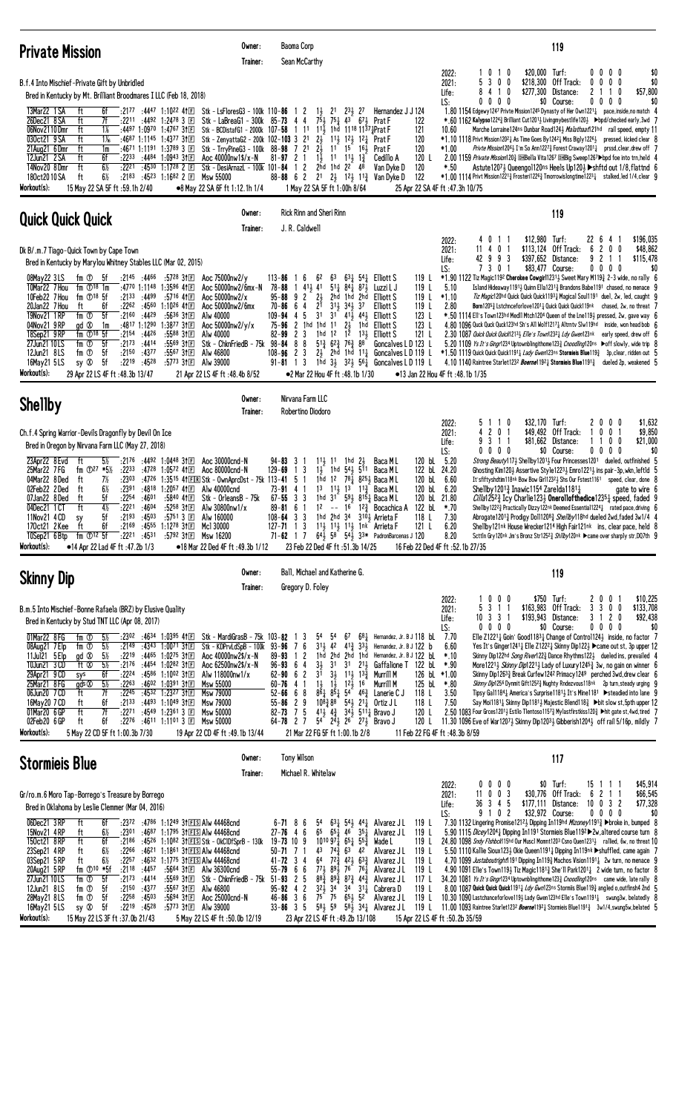| <b>Private Mission</b>                                                                                                                                                                                                                                                                                                                                                                                                                                                                                                                                                                                                                                                                                                                                                                                                                                                                                                                                                  | Owner:<br>Trainer:                                                                                                                                                                                                                                                                                                                                                                  | Baoma Corp<br>Sean McCarthy                                                                                                                                                                                                                                                                                                                      |                                                                                                                                                                                                                                                                                                                                                                                                                                                                                                                                                                                                                                                                                                                              | 119                                                                                                                                                                                                                                                                                                                                                                                                                                                                                                                                                                                                                                                                                                                                                                                                                                                                                                                                                                                                                                                                                                                                                                                                                                                                                                                                                                                                                              |
|-------------------------------------------------------------------------------------------------------------------------------------------------------------------------------------------------------------------------------------------------------------------------------------------------------------------------------------------------------------------------------------------------------------------------------------------------------------------------------------------------------------------------------------------------------------------------------------------------------------------------------------------------------------------------------------------------------------------------------------------------------------------------------------------------------------------------------------------------------------------------------------------------------------------------------------------------------------------------|-------------------------------------------------------------------------------------------------------------------------------------------------------------------------------------------------------------------------------------------------------------------------------------------------------------------------------------------------------------------------------------|--------------------------------------------------------------------------------------------------------------------------------------------------------------------------------------------------------------------------------------------------------------------------------------------------------------------------------------------------|------------------------------------------------------------------------------------------------------------------------------------------------------------------------------------------------------------------------------------------------------------------------------------------------------------------------------------------------------------------------------------------------------------------------------------------------------------------------------------------------------------------------------------------------------------------------------------------------------------------------------------------------------------------------------------------------------------------------------|----------------------------------------------------------------------------------------------------------------------------------------------------------------------------------------------------------------------------------------------------------------------------------------------------------------------------------------------------------------------------------------------------------------------------------------------------------------------------------------------------------------------------------------------------------------------------------------------------------------------------------------------------------------------------------------------------------------------------------------------------------------------------------------------------------------------------------------------------------------------------------------------------------------------------------------------------------------------------------------------------------------------------------------------------------------------------------------------------------------------------------------------------------------------------------------------------------------------------------------------------------------------------------------------------------------------------------------------------------------------------------------------------------------------------------|
| B.f.4 Into Mischief-Private Gift by Unbridled<br>Bred in Kentucky by Mt. Brilliant Broodmares I LLC (Feb 18, 2018)                                                                                                                                                                                                                                                                                                                                                                                                                                                                                                                                                                                                                                                                                                                                                                                                                                                      |                                                                                                                                                                                                                                                                                                                                                                                     |                                                                                                                                                                                                                                                                                                                                                  |                                                                                                                                                                                                                                                                                                                                                                                                                                                                                                                                                                                                                                                                                                                              | \$20,000 Turf:<br>$0\,0\,0\,0$<br>2022:<br>$1\quad0$<br>$1\quad0$<br>\$0<br>5 3 0 0<br>\$218,300 Off Track:<br>$0\ 0\ 0\ 0$<br>\$0<br>2021:<br>$\bm{0}$<br>\$277,300 Distance:<br>2 1<br>10<br>\$57,800<br>Life:<br>8<br>4<br>$\mathbf{1}$<br>$0\,0\,0\,0$<br>\$0 Course:<br>$0\ 0\ 0\ 0$<br>\$0                                                                                                                                                                                                                                                                                                                                                                                                                                                                                                                                                                                                                                                                                                                                                                                                                                                                                                                                                                                                                                                                                                                                 |
| $:2177$ :4447 1:1022 41 $E$ Stk - LsFloresG3 - 100k 110-86 1 2<br>13Mar22 1 SA<br>6f<br>ft<br>26Dec21 8 SA<br>ft<br>7f<br>$:22^{11}$ $:44^{92}$ 1:24 <sup>78</sup> 3 $E$<br>06Nov2110Dmr<br>ft<br>1%<br>:4497 1:0970 1:4767 31 $E$<br>ft<br>030ct21 9 SA<br>$1\%$<br>:4687 1:1145 1:4377 3†匣<br>ft<br>21Aug21 6Dmr<br>:4671 1:1191 1:3789 3 $\Box$<br>1m<br>12Jun21 2 SA<br>$:22^{33}$ $:44^{84}$ 1:0943 31 E<br>ft<br>6f<br>ft<br>$6\%$<br>14Nov20 8Dmr<br>:2221 :4530 1:1728 2 $\Box$<br>180ct2010SA<br>ft<br>$6\%$<br>:2183<br>:4523 1:1682 2 国<br>Workout(s):<br>15 May 22 SA 5F ft: 59.1h 2/40                                                                                                                                                                                                                                                                                                                                                                     | Stk - LaBreaG1 - 300k 85-73 4 4<br>Stk - BCDistafG1 - 2000k 107-58 1 11 1 <sup>1</sup> / <sub>2</sub> 1hd 11 <sup>18</sup> 11 <sup>37</sup> <sup>1</sup> <sub>2</sub> Prat F<br>Stk - ZenyattaG2 - 200k 102-103 3 21<br>Stk - TrryPineG3 - 100k 88-98 7 21<br>Aoc 40000nw1\$/x-N<br>Stk - DesiArnazL - 100k 101-84 1 2 2hd 1hd 22 48<br>Msw 55000<br>•8 May 22 SA 6F ft 1:12.1h 1/4 | $75\frac{1}{2}$<br>$2\frac{1}{2}$<br>$2\frac{1}{2}$<br>$1\frac{1}{2}$<br>$81 - 97$ 2 1<br>$88 - 88 = 62$<br>1 May 22 SA 5F ft 1:00h 8/64                                                                                                                                                                                                         | $1\frac{1}{2}$ $2^{1}$ $2^{3}\frac{1}{2}$ $2^{7}$<br>Hernandez J J 124<br>$75\frac{1}{4}$ 43 67 H Prat F<br>122<br>121<br>120<br>$11\frac{1}{2}$ $12\frac{1}{2}$ Prat F<br>120<br>$11^{7}$ $15^{7}$ $16\frac{1}{2}$<br>Prat F<br>$1^1$ $1^1$ , $1^3$<br>120 L<br>Cedillo A<br>120<br>Van Dyke D<br>122<br>21 21 121 113 Van Dyke D<br>25 Apr 22 SA 4F ft :47.3h 10/75                                                                                                                                                                                                                                                                                                                                                        | LS:<br>1.80 1154 Edgewy1247 Privte Mission1245 Dynasty of Her Own12211 pace, inside, no match 4<br>*.60 1162 Kalypso12243 Brilliant Cut12013 Livingmybestlife1203 >bpd/checked early,3wd 7<br>Marche Lorraine 124ns Dunbar Road1243 Malathaat121hd rail speed, empty 11<br>10.60<br>$*1.10$ 1118 Privt Mission12021 As Time Goes By12421 Miss Big1y12261 pressed, kicked clear 8<br>Privte Mission12061 I'm So Ann12273 Forest Craway12011 prssd, clear, drew off 7<br>$*1.00$<br>2.00 1159 <i>Private Mission</i> 120 <del>2</del> DHBella Vita1267 DHBig Sweep1267 > bpd foe into trn, held 4<br>*.50<br>Astute1207½ Queengo1120ns Hee1s Up120½ ▶shftd out 1/8, flattnd   6<br>$*1.00$ 1114 Privt Mission12213 Frosteri12263 Tmorrowislongtime12231 stalked, led 1/4, clear 9                                                                                                                                                                                                                                                                                                                                                                                                                                                                                                                                                                                                                                                  |
| <b>Quick Quick Quick</b>                                                                                                                                                                                                                                                                                                                                                                                                                                                                                                                                                                                                                                                                                                                                                                                                                                                                                                                                                | Owner:<br>Trainer:                                                                                                                                                                                                                                                                                                                                                                  | Rick Rinn and Sheri Rinn<br>J. R. Caldwell                                                                                                                                                                                                                                                                                                       |                                                                                                                                                                                                                                                                                                                                                                                                                                                                                                                                                                                                                                                                                                                              | 119                                                                                                                                                                                                                                                                                                                                                                                                                                                                                                                                                                                                                                                                                                                                                                                                                                                                                                                                                                                                                                                                                                                                                                                                                                                                                                                                                                                                                              |
| Dk B/.m.7 Tiago-Quick Town by Cape Town<br>Bred in Kentucky by Marylou Whitney Stables LLC (Mar 02, 2015)<br>$:21^{45}$ $:44^{66}$ $:57^{28}$ 3†E<br>08May22 3LS<br>fm ① 5f<br>10Mar22 7 Hou<br>fm $\mathbb{O}^{18}$ 1m<br>:4770 1:1148 1:3596 411回<br>10Feb22 7 Hou<br>fm $\mathbb{O}^{18}$ 5f<br>$:2133$ $:4499$<br>:5716 411回<br>20Jan22 7 Hou<br>$:22^{62}$ $:45^{60}$ 1:10 <sup>26</sup> 41 $\Box$<br>ft<br>6f<br>19Nov21 1 RP<br>fm ①<br>5f<br>:21 <sup>60</sup> :44 <sup>29</sup><br>:5636 31回<br>gd $\infty$<br>:4817 1:1290<br>1:3877 3†国<br>04Nov21 9 RP<br>1m<br>18Sep21 9RP<br>fm $\mathbb{D}^{18}$ 5f<br>$:2154$ $:4426$<br>:5588 31回<br>fm ①<br>-5f<br>$:21^{73}$ $:44^{14}$<br>:5569 31回<br>27Jun21 10LS<br>fm ①<br>12Jun21 8LS<br>- 5f<br>$:2150$ $:4377$<br>:5567 3†国<br>:2219<br>:4528<br>sy $\infty$<br>- 5f<br>:5773 311日<br>16May21 5LS                                                                                                            | Aoc 75000nw2/y<br>Aoc 50000nw2/6mx-N<br>Aoc 50000nw2/x<br>Aoc 50000nw2/6mx<br>Alw 40000<br>Aoc $50000$ nw $2/y/x$<br>Alw 40000<br>Stk - ChknFriedB - 75k 98-84 8 8<br>Alw 46800<br>Alw 39000                                                                                                                                                                                        | 16<br>$113 - 86$<br>62<br>63<br>$141\frac{1}{2}41$<br>78-88<br>$95 - 88$ 9 2 $2\frac{1}{2}$<br>$70 - 86$ 6 4<br>$2^{1}$<br>3 <sup>1</sup><br>$109 - 94$ 4 5<br>75-96 2 1hd 1hd 11<br>2 <sub>3</sub><br>82-99<br>$108 - 96$ 2 3<br>$2\frac{1}{2}$<br>$91 - 81$ 1 3                                                                                | $63\frac{1}{4}$ 54 Elliott S<br>119 L<br>$51\frac{1}{4}$ $84\frac{1}{4}$ $87\frac{1}{2}$<br>119L<br>Luzzi L J<br>2hd 1hd<br>119 L<br>2hd<br>Elliott S<br>$31\frac{1}{2}$ $34\frac{1}{2}$ $37$<br>119L<br><b>Elliott S</b><br>$3^{1}$ $4^{1}\frac{1}{2}$ $4^{4}\frac{1}{2}$ Elliott S<br>123 L<br>21<br>1hd<br>123L<br><b>Elliott S</b><br>1hd 12 12<br>13 <sub>3</sub> Elliott S<br>121 L<br>$5^{13}$ 6 <sup>2</sup> / <sub>3</sub> 76 <sup>3</sup> <sub>3</sub> 88<br>Goncalves L D 123 L<br>1hd $3\frac{1}{2}$ $3\frac{2}{2}$ $56\frac{1}{4}$ Goncalves L D 119 L                                                                                                                                                          | \$12,980 Turf:<br>\$196,035<br>22 6 4 1<br>2022:<br>4011<br>\$113,124 Off Track:<br>6200<br>2021:<br>11<br>401<br>\$48,862<br>9 2 1 1<br>\$115,478<br>Life:<br>42993<br>\$397,652 Distance:<br>LS:<br>730<br>\$83,477 Course:<br>$0\ 0\ 0\ 0$<br>\$0<br>-1<br>*1.90 1122 Tiz Magic1192 Cherokee Cowgirl12313 Sweet Mary M1193 2-3 wide, no rally 6<br>5.10<br>Island Hideaway 11911, Quinn Ella 1231 $\frac{3}{4}$ Brandons Babe 1191 chased, no menace 9<br>Tiz Magic120hd Quick Quick Quick11931 Magical Soul1191 duel, 2w, led, caught 9<br>$*1.10$<br>Born12053 Lstchnceforlove12014 Quick Quick Quick119nk chased, 2w, no threat 7<br>2.80<br>*.50 1114 Ell's Town123hd Medll Mtch1204 Queen of the Lne1193 pressed, 2w, gave way 6<br>4.80 1096 Quck Quck Quck123hd Sh's All Wolf1217 $\frac{1}{4}$ Altrnty Slw119hd inside, won head bob 6<br>2.30 1087 Quick Quick Quick1213} Elle's Town1232} Ldy Gwen123nk early speed, drew off 6<br>5.20 1109 Ys It's Gingr1234 Uptownblingithome1233 Cnoodling120ns > off slowly, wide trip 8<br>2hd 1hd 111 Goncalves L D 119 L $*1.50$ 1119 Quick Quick Quick1911 <i>Lady Gwen</i> 123ns Stormieis Blue119 $\frac{3}{4}$ 3p, clear, ridden out 5<br>4.10 1140 Raintree Starlet1232 <i>Boerne</i> 1192 <sub>4</sub> Stormieis Blue1191 <sub>4</sub> dueled 2p, weakened 5                                                                                                          |
| Workout(s):<br>29 Apr 22 LS 4F ft : 48.3b 13/47                                                                                                                                                                                                                                                                                                                                                                                                                                                                                                                                                                                                                                                                                                                                                                                                                                                                                                                         | 21 Apr 22 LS 4F ft: 48.4b 8/52<br>Owner:                                                                                                                                                                                                                                                                                                                                            | ●2 Mar 22 Hou 4F ft: 48.1b 1/30<br>Nirvana Farm LLC                                                                                                                                                                                                                                                                                              |                                                                                                                                                                                                                                                                                                                                                                                                                                                                                                                                                                                                                                                                                                                              | •13 Jan 22 Hou 4F ft:48.1b 1/35                                                                                                                                                                                                                                                                                                                                                                                                                                                                                                                                                                                                                                                                                                                                                                                                                                                                                                                                                                                                                                                                                                                                                                                                                                                                                                                                                                                                  |
| <b>Shellby</b><br>Ch.f.4 Spring Warrior-Devils Dragonfly by Devil On Ice                                                                                                                                                                                                                                                                                                                                                                                                                                                                                                                                                                                                                                                                                                                                                                                                                                                                                                | Trainer:                                                                                                                                                                                                                                                                                                                                                                            | Robertino Diodoro                                                                                                                                                                                                                                                                                                                                |                                                                                                                                                                                                                                                                                                                                                                                                                                                                                                                                                                                                                                                                                                                              | \$32,170 Turf:<br>2000<br>\$1,632<br>2022:<br>51<br>$\overline{1}$<br>0<br>4 2 0 1<br>\$49,492 Off Track:<br>$0 \t0 \t1$<br>\$9,850<br>2021:<br>-1                                                                                                                                                                                                                                                                                                                                                                                                                                                                                                                                                                                                                                                                                                                                                                                                                                                                                                                                                                                                                                                                                                                                                                                                                                                                               |
| Bred in Oregon by Nirvana Farm LLC (May 27, 2018)<br>$:21^{76}$ $:44^{92}$ 1:0448 31 $\Box$<br>23Apr22 8 Evd<br>ft<br>$5\%$<br>fm $\Phi$ <sup>27</sup> *5 <sup>1/2</sup><br>25Mar22 7 FG<br>:2233 :4728 1:0572 41 E Aoc 80000cnd-N<br>04Mar22 8Ded<br>7½<br>:2303 :4726 1:3515 41 E Stk - Own AprcDst - 75k 113-41 5 1<br>ft<br>$6\%$<br>$:2391$ $:4818$ 1:2057 41 E<br>02Feb22 2Ded<br>ft<br>07Jan22 8Ded<br>5f<br>:2254<br>:4601<br>:5840 41 F<br>ft<br>$4\frac{1}{2}$<br>ft<br>:2221<br>:4604<br>04Dec21 1 CT<br>:52 <sup>58</sup> 31E<br>5f<br>$:2193$ $:4503$<br>:5751 3 国<br>11Nov21 4 CD<br>sy<br>fif<br>:2169 :4555 1:1278 31E Mcl 30000<br>170ct21 2Kee ft<br>10Sep21 6 Btp fm ①12 5f :2221 :4531 :5792 31 El Msw 16200<br>Workout(s):<br>•14 Apr 22 Lad 4F ft: 47.2b 1/3                                                                                                                                                                                      | Aoc 30000cnd-N<br>Alw 40000cnd<br>Stk – OrleansB – 75k<br>Alw 30800nw1/x<br>Alw 160000<br>•18 Mar 22 Ded 4F ft :49.3b 1/12                                                                                                                                                                                                                                                          | $94 - 83$ 3 1<br>1 <sub>3</sub><br>129-69<br>$73 - 91$ 4 1<br>$67 - 55$ 3 3<br>$89 - 81 = 61$<br>$108 - 64$ 3 3<br>127-71 1 3 $11\frac{1}{2}$ 1 <sup>1</sup> / <sub>2</sub> 1 <sup>1</sup> / <sub>2</sub> 1 <sup>n</sup> k Arrieta F<br>23 Feb 22 Ded 4F ft :51.3b 14/25                                                                         | 120 bL 5.20<br>$11\frac{1}{2}$ 11 1 hd $2\frac{1}{2}$<br>Baca M L<br>122 bL 24.20<br>$1\frac{1}{2}$ 1hd $54\frac{1}{2}$ 511<br>Baca M L<br>1hd 12 $78\frac{1}{4}$ 8 <sup>25</sup> / <sub>2</sub> Baca ML<br>120 bL 6.60<br>13 113 13 113 Baca ML<br>120 bL 6.20<br>1hd 31 593 8151 Baca ML<br>120 bL 21.80<br>12 -- $16^{3}$ 12 $\frac{3}{4}^{3}$ Bocachica A<br>122 bL<br>1hd 2hd 34 3103 Arrieta F<br>118 L<br>121 L<br>71-62 1 7 $64\frac{1}{2}$ 58 $54\frac{1}{2}$ 33* PadronBarcenas J 120                                                                                                                                                                                                                              | \$81,662 Distance:<br>\$21,000<br>9311<br>1100<br>Life:<br>0000<br>\$0 Course:<br>$0\,0\,0\,0$<br>\$0<br>LS:<br>Strong Beauty117} Shellby12011 Four Princesses1201 dueled, outfinished 5<br>Ghosting Kim120} Assertive Style1223} Emro1221} ins pair-3p, wkn, leftld 5<br>It'sfiftyshdtim118nk Bow Bow Girl12321 Shs Our Fstest1161 speed, clear, done 8<br>Shellby 1201 $\frac{3}{4}$ Inawic 1154 Zarelda 1181 $\frac{1}{4}$<br>gate to wire 6<br>$\emph{Cilla}$ 125 <sup>23</sup> / Icy Charlie 1233 <b>Onerollofthedice</b> 1235 $\frac{1}{4}$ speed, faded 9<br>*.70<br>Shellby122 <sup>2</sup> Practically Dizzy122nk Deemed Essential1224 arated pace, driving 6<br>7.30<br>Abrogate12013 Prodigy Do1112083 <i>She11by</i> 118hd dueled 2wd, faded 3w1/4 4<br>Shellby121nk House Wrecker1214 High Fair121nk ins, clear pace, held 8<br>6.20<br>8.20<br>Scttln Gry120nk Jm's Bronz Str1252} Shllby120nk ▶ came over sharply str, DQ7th 9<br>16 Feb 22 Ded 4F ft :52.1b 27/35                                                                                                                                                                                                                                                                                                                                                                                                                                                |
| <b>Skinny Dip</b>                                                                                                                                                                                                                                                                                                                                                                                                                                                                                                                                                                                                                                                                                                                                                                                                                                                                                                                                                       | Owner:<br>Trainer:                                                                                                                                                                                                                                                                                                                                                                  | Ball, Michael and Katherine G.<br>Gregory D. Foley                                                                                                                                                                                                                                                                                               |                                                                                                                                                                                                                                                                                                                                                                                                                                                                                                                                                                                                                                                                                                                              | 119                                                                                                                                                                                                                                                                                                                                                                                                                                                                                                                                                                                                                                                                                                                                                                                                                                                                                                                                                                                                                                                                                                                                                                                                                                                                                                                                                                                                                              |
| B.m.5 Into Mischief-Bonne Rafaela (BRZ) by Elusive Quality<br>Bred in Kentucky by Stud TNT LLC (Apr 08, 2017)<br>01Mar22 8 FG<br>fm ①<br>$5\%$<br>$:23^{02}$ $:46^{34}$ 1:03 <sup>95</sup> 41E Stk - MardiGrasB - 75k 103-82 1 3<br>08Aug21 7 Elp<br>fm ①<br>- 5½<br>$:21^{49}$ $:43^{43}$ 1:0071 3†E<br>gd $\infty$<br>$5\%$<br>$:22^{19}$ $:44^{65}$ 1:02 <sup>75</sup> 31 E<br>11Jul21 5 Elp<br>ft ®<br>10Jun21 3 CD<br>$5\%$<br>:2176 :4454 1:0282 31 $\Box$<br>29Apr21 9 CD<br>$:22^{24}$ $:45^{86}$ 1:1002 31 $E$<br>6f<br>sys<br>25Mar21 8 FG<br>$:22^{63}$ $:46^{02}$ 1:0391 31 $\boxed{=}$<br>gds $\otimes$<br>$5\%$<br>06Jun20 7 CD<br>ft<br>7f<br>$:22^{45}$ $:45^{32}$ 1:2327 31 $\text{F}$<br>16May20 7 CD<br>$:21^{33}$ $:44^{93}$ 1:10 <sup>49</sup> 31 E<br>ft<br>6f<br>ft<br>7f<br>01Mar20 6 GP<br>$:22^{71}$ $:45^{49}$ 1:2361 3 E<br>02Feb20 6 GP<br>6f<br>:2276 :4611 1:1101 3 $E$ Msw 50000<br>ft<br>Workout(s):<br>5 May 22 CD 5F ft 1:00.3b 7/30 | Stk - KDPrvLdSpB - 100k 93-96 7 6<br>Aoc 40000nw2\$/x-N<br>Aoc 62500nw2\$/x-N<br>Alw 118000nw1/x<br>Msw 55000<br>Msw 79000<br>Msw 79000<br>Msw 50000<br>19 Apr 22 CD 4F ft : 49.1b 13/44                                                                                                                                                                                            | 54<br>$89 - 93 1 2$<br>$3\frac{1}{2}$<br>$96 - 93$ 6 4<br>$62 - 90 = 6$ 2<br>3 <sup>1</sup><br>$60 - 76$ 4 1<br>$52 - 66$ 6 8<br>$55 - 86$ 2 9<br>82-73 7 5 41 $\frac{1}{2}$ 4 $\frac{3}{4}$ 34 $\frac{1}{2}$ 511 $\frac{1}{4}$ Bravo J<br>64-78 2 7 54 $2\frac{41}{2}$ 2 <sup>6</sup> $27\frac{1}{2}$ Bravo J<br>21 Mar 22 FG 5F ft 1:00.1b 2/8 | $5^4$ 67 681 Hernandez, Jr. B J 118 bl. 7.70<br>313 42 413 331 Hernandez, Jr. B J 122 b<br>1hd 2hd 2hd 1hd Hernandez, Jr. B J 122 bl<br>31 31 213 Gaffalione T 122 bl.<br>$3\frac{1}{2}$ $1\frac{1}{2}$ $13\frac{3}{2}$<br>Murrill M<br>126 bL $*1.00$<br>$1\frac{1}{2}$ $1\frac{1}{2}$ $12\frac{1}{2}$ $16$<br>125 bL<br>Murrill M<br>$8\bar{6}$ <sub>4</sub> $8\bar{5}$ <sub>4</sub> $54$ <sup>-</sup> $46\frac{3}{4}$ Lanerie C J<br>118 L<br>$10^{8}\frac{3}{4}8^{8}$ 54 $\frac{1}{2}$ 21 $\frac{1}{4}$ Ortiz J L<br>118 L<br>120 L<br>120 L<br>11 Feb 22 FG 4F ft: 48.3b 8/59                                                                                                                                           | 1 0 0 0<br>\$750 Turf:<br>2 0 0 1<br>\$10,225<br>2022:<br>$$163,983$ Off Track:<br>3 3 0 0<br>\$133,708<br>5 3 1 1<br>2021:<br>\$193,943 Distance:<br>\$92,438<br>10 3 3 1<br>3 1 2 0<br>Life:<br>$0\ 0\ 0\ 0$<br>\$0 Course:<br>$0\ 0\ 0\ 0$<br>\$0<br>LS:<br>Elle Z1221 <sub>4</sub> Goin' Good1183 <sub>4</sub> Change of Control124 <sub>3</sub> inside, no factor 7<br>6.60<br>Yes It's Ginger12411 Elle Z12221 Skinny Dip1221 ▶ came out st, 3p upper 12<br>$*10$<br>Skinny Dip122hd Song River1223 Dance Rhythms1223 dueled ins, prevailed 4<br>*.90<br>More1221 $\frac{1}{2}$ Skinny Dip1221 $\frac{1}{2}$ Lady of Luxury 1245 $\frac{3}{4}$ 3w, no gain on winner 6<br>Skinny Dip12633 Break Curfew1242 Primacy1249 perched 3wd, drew clear 6<br>Skinny Dip1256 Dynmit Gift12523 Nughty Rndezvous118nk 2p turn, steady urging 9<br>*.80<br>3.50<br>Tipsy Gal1184 <sub>4</sub> America's Surprise1181 <sub>4</sub> It's Mine1181 ▶ steadied into lane 9<br>7.50<br>Say Moi11811 Skinny Dip11811, Majestic Blend1183 → bit slow st, 5pth upper 12<br>2.50 1083 Four Grces1201} Estilo Tlentoso11573 Mylastfirstkiss1203 ▶hit gate st, 4wd, tired 7<br>11.30 1096 Eve of War1207 $\frac{1}{2}$ Skinny Dip1203 $\frac{1}{2}$ Gibberish1204 $\frac{1}{2}$ off rail 5/16p, mildly 7                                                                                                                                           |
| <b>Stormiels Blue</b>                                                                                                                                                                                                                                                                                                                                                                                                                                                                                                                                                                                                                                                                                                                                                                                                                                                                                                                                                   | Owner:<br>Trainer:                                                                                                                                                                                                                                                                                                                                                                  | Tony Wilson<br>Michael R. Whitelaw                                                                                                                                                                                                                                                                                                               |                                                                                                                                                                                                                                                                                                                                                                                                                                                                                                                                                                                                                                                                                                                              | 117                                                                                                                                                                                                                                                                                                                                                                                                                                                                                                                                                                                                                                                                                                                                                                                                                                                                                                                                                                                                                                                                                                                                                                                                                                                                                                                                                                                                                              |
| Gr/ro.m.6 Moro Tap-Borrego's Treasure by Borrego<br>Bred in Oklahoma by Leslie Clemmer (Mar 04, 2016)<br>06Dec21 3RP<br>ft<br>6f<br>:2372 :4786 1:1249 31ES Alw 44468cnd<br>15Nov21 4RP<br>$:23^{01}$ $:46^{87}$ 1:1795 31 EIS AIw 44468 cnd<br>ft<br>$6\%$<br>150ct21 8RP<br>ft<br>:2186 :4526 1:1082 31ES Stk - OkClDfSprB - 130k 19-73 10 9<br>6f<br>23Sep21 4RP<br>6½<br>ft<br>$:22^{66}$ $:46^{21}$ 1:18 <sup>61</sup> 31ELS AIw 44468cnd<br>03Sep21 5RP<br>6½<br>$:22^{57}$ $:46^{32}$ 1:17 <sup>75</sup> 31 EIS AIw 44468 cnd<br>ft<br>fm $\mathbb{O}^{10}$ *5f<br>$:21^{18}$ :4457<br>20Aug21 5 RP<br>27Jun21 10LS<br>-5f<br>$:21^{73}$ $:44^{14}$<br>fm ①<br>12Jun21 8LS<br>fm ①<br>5f<br>$:2150$ $:4377$<br>:5567 31 El Alw 46800<br>28May21 8LS<br>fm ①<br>5f<br>$:22^{58}$ $:45^{03}$<br>:5694 311回<br>-5f<br>:2219 :4528<br>16May21 5LS<br>sy Ø<br>:5773 31EI Alw 39000<br>Workout(s):<br>15 May 22 LS 3F ft : 37.0b 21/43                                 | :5664 31 $E$ Alw 36300 cnd<br>:5569 31 $E$ Stk - ChknFriedB - 75k 51-93 2 5<br>Aoc 25000cnd-N<br>5 May 22 LS 4F ft: 50.0b 12/19                                                                                                                                                                                                                                                     | $6 - 71$ 8 6<br>54<br>$27 - 76$ 4 6<br>$50 - 71$ 7 1<br>$41 - 72$ 3 4<br>$55 - 79$ 6 6<br>$95 - 92$ 4 2<br>$46 - 86$ 3 6<br>23 Apr 22 LS 4F ft : 49.2b 13/108                                                                                                                                                                                    | $63\frac{1}{4}$ 54 $44\frac{1}{4}$ Alvarez J L<br>119 L<br>65 $65\frac{1}{4}$ 46 $35\frac{1}{4}$ Alvarez JL<br>119 L<br>$10^{10}97\frac{1}{4}65\frac{1}{4}55\frac{3}{4}$<br>Wade L<br>119 L<br>$4^3$ $7^{4^3}$ $6^3$ $4^2$<br>Alvarez J L<br>119 L<br>$64$ $72\frac{3}{4}$ $42\frac{1}{2}$ $63\frac{3}{4}$ Alvarez JL<br>119 L<br>773 893 76 761 Alvarez J L<br>119 L<br>$8^{8\frac{3}{4}}$ $8^{9\frac{3}{4}}$ $8^{7\frac{3}{4}}$ $4^{4\frac{3}{4}}$ Alvarez JL<br>117 L<br>$3^{2}$ $\frac{1}{2}$ $3^{4}$ $3^{1}$ $3^{1}$ Cabrera D<br>119 $L$<br>$75^{\degree}$ 75 $65\frac{1}{2}$ 52 Alvarez J L<br>119 L<br>33-86 3 5 58 $\frac{1}{2}$ 59 58 $\frac{1}{2}$ 34 $\frac{1}{4}$ Alvarez JL<br>15 Apr 22 LS 4F ft :50.2b 35/59 | \$45,914<br>$0\,0\,0\,0$<br>\$0 Turf:<br>15 1 1 1<br>2022:<br>\$30,776 Off Track:<br>6211<br>\$66,545<br>11 0 0 3<br>2021:<br>36 3 4 5<br>\$177,111 Distance:<br>10 0 3 2<br>\$77,328<br>Life:<br>9 1 0 2<br>\$32,972 Course:<br>$0\ 0\ 0\ 0$<br>\$0<br>LS:<br>7.30 1132 Lingering Promise121 <sup>21</sup> , Dipping In119hd <i>Mizoney</i> 1191 <sup>3</sup> > broke in, bumped 8<br>5.90 1115 <i>Dicey</i> 120 <sup>4</sup> <sup>1</sup> <sub>4</sub> Dipping In1191 Stormieis Blue119 <sup>2</sup> > 2w, altered course turn 8<br>$24.80$ 1098 <i>Sndy Flshbck</i> 115hd Our Musc1 Momnt120 <sup>3</sup> Csno Quen1231 <sub>2</sub> rallied, 6w, no threat 10<br>5.50 1110 Kallie Sioux1233 Okie Queen1191 $\frac{1}{4}$ Dipping In119nk $\blacktriangleright$ shuffled, came again 7<br>4.70 1099 Justaboutright 191 Dipping In 193 Machos Vision 1191 2w turn, no menace 9<br>4.90 1091 Elle's Town1193 Tiz Magic11813 She'll Park12013 2 wide turn, no factor 8<br>34.20 1081 <i>Ys It's Gingr</i> 1234 Uptownblingithome1233 Cnoodling120ns came wide, late rally 8<br>8.00 1087 Quick Quick Quick1191 $\frac{1}{4}$ <i>Ldy Gwn</i> 123ns Stormiis Blue119 $\frac{3}{4}$ angled o, outfinsh4 2nd 5<br>10.30 1090 Lastchanceforlove119 $\frac{1}{2}$ Lady Gwen123hd Elle's Town1191 $\frac{1}{4}$ swung3w, belatedly 8<br>119 L 11.00 1093 Raintree Starlet1232 Boerne11921 Stormieis Blue11913 3w1/4, swung5w, belated 5 |